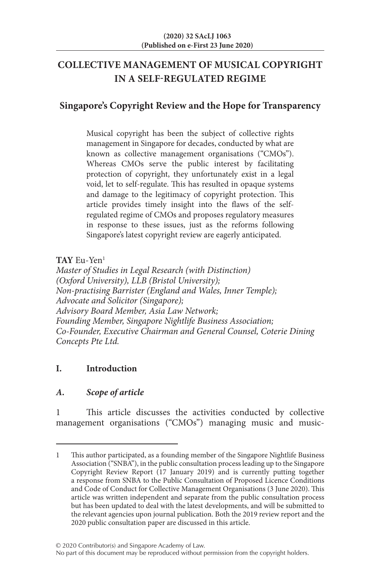# **COLLECTIVE MANAGEMENT OF MUSICAL COPYRIGHT IN A SELF-REGULATED REGIME**

# **Singapore's Copyright Review and the Hope for Transparency**

Musical copyright has been the subject of collective rights management in Singapore for decades, conducted by what are known as collective management organisations ("CMOs"). Whereas CMOs serve the public interest by facilitating protection of copyright, they unfortunately exist in a legal void, let to self-regulate. This has resulted in opaque systems and damage to the legitimacy of copyright protection. This article provides timely insight into the flaws of the selfregulated regime of CMOs and proposes regulatory measures in response to these issues, just as the reforms following Singapore's latest copyright review are eagerly anticipated.

**TAY** Eu-Yen1

*Master of Studies in Legal Research (with Distinction) (Oxford University), LLB (Bristol University); Non-practising Barrister (England and Wales, Inner Temple); Advocate and Solicitor (Singapore); Advisory Board Member, Asia Law Network; Founding Member, Singapore Nightlife Business Association; Co-Founder, Executive Chairman and General Counsel, Coterie Dining Concepts Pte Ltd.*

# **I. Introduction**

# *A. Scope of article*

1 This article discusses the activities conducted by collective management organisations ("CMOs") managing music and music-

<sup>1</sup> This author participated, as a founding member of the Singapore Nightlife Business Association ("SNBA"), in the public consultation process leading up to the Singapore Copyright Review Report (17 January 2019) and is currently putting together a response from SNBA to the Public Consultation of Proposed Licence Conditions and Code of Conduct for Collective Management Organisations (3 June 2020). This article was written independent and separate from the public consultation process but has been updated to deal with the latest developments, and will be submitted to the relevant agencies upon journal publication. Both the 2019 review report and the 2020 public consultation paper are discussed in this article.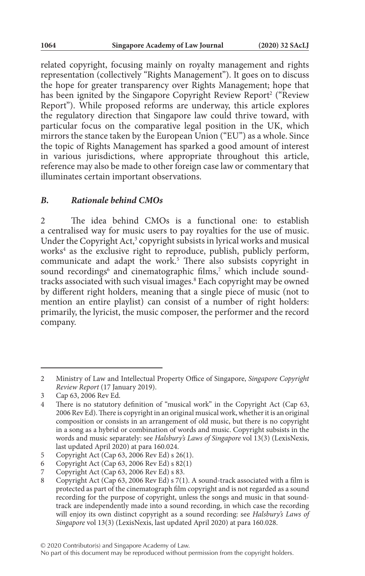related copyright, focusing mainly on royalty management and rights representation (collectively "Rights Management"). It goes on to discuss the hope for greater transparency over Rights Management; hope that has been ignited by the Singapore Copyright Review Report<sup>2</sup> ("Review Report"). While proposed reforms are underway, this article explores the regulatory direction that Singapore law could thrive toward, with particular focus on the comparative legal position in the UK, which mirrors the stance taken by the European Union ("EU") as a whole. Since the topic of Rights Management has sparked a good amount of interest in various jurisdictions, where appropriate throughout this article, reference may also be made to other foreign case law or commentary that illuminates certain important observations.

#### *B. Rationale behind CMOs*

2 The idea behind CMOs is a functional one: to establish a centralised way for music users to pay royalties for the use of music. Under the Copyright Act,<sup>3</sup> copyright subsists in lyrical works and musical works4 as the exclusive right to reproduce, publish, publicly perform, communicate and adapt the work.5 There also subsists copyright in sound recordings<sup>6</sup> and cinematographic films,<sup>7</sup> which include soundtracks associated with such visual images.<sup>8</sup> Each copyright may be owned by different right holders, meaning that a single piece of music (not to mention an entire playlist) can consist of a number of right holders: primarily, the lyricist, the music composer, the performer and the record company.

<sup>2</sup> Ministry of Law and Intellectual Property Office of Singapore, *Singapore Copyright Review Report* (17 January 2019).

<sup>3</sup> Cap 63, 2006 Rev Ed.

<sup>4</sup> There is no statutory definition of "musical work" in the Copyright Act (Cap 63, 2006 Rev Ed). There is copyright in an original musical work, whether it is an original composition or consists in an arrangement of old music, but there is no copyright in a song as a hybrid or combination of words and music. Copyright subsists in the words and music separately: see *Halsbury's Laws of Singapore* vol 13(3) (LexisNexis, last updated April 2020) at para 160.024.

<sup>5</sup> Copyright Act (Cap 63, 2006 Rev Ed) s 26(1).<br>6 Copyright Act (Cap 63, 2006 Rev Ed) s 82(1).

<sup>6</sup> Copyright Act (Cap 63, 2006 Rev Ed) s 82(1)

<sup>7</sup> Copyright Act (Cap 63, 2006 Rev Ed) s 83.<br>8 Copyright Act (Cap 63, 2006 Rev Ed) s 7(1)

<sup>8</sup> Copyright Act (Cap 63, 2006 Rev Ed) s 7(1). A sound-track associated with a film is protected as part of the cinematograph film copyright and is not regarded as a sound recording for the purpose of copyright, unless the songs and music in that soundtrack are independently made into a sound recording, in which case the recording will enjoy its own distinct copyright as a sound recording: see *Halsbury's Laws of Singapore* vol 13(3) (LexisNexis, last updated April 2020) at para 160.028.

No part of this document may be reproduced without permission from the copyright holders.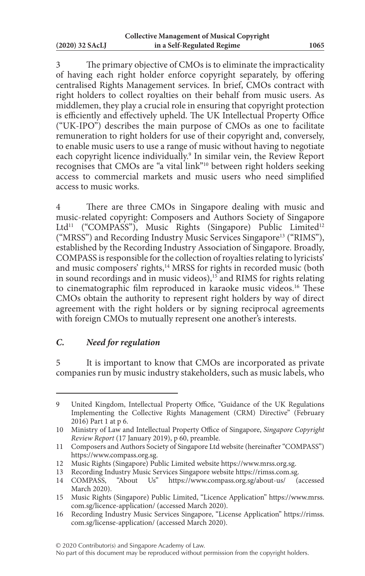3 The primary objective of CMOs is to eliminate the impracticality of having each right holder enforce copyright separately, by offering centralised Rights Management services. In brief, CMOs contract with right holders to collect royalties on their behalf from music users. As middlemen, they play a crucial role in ensuring that copyright protection is efficiently and effectively upheld. The UK Intellectual Property Office ("UK-IPO") describes the main purpose of CMOs as one to facilitate remuneration to right holders for use of their copyright and, conversely, to enable music users to use a range of music without having to negotiate each copyright licence individually.<sup>9</sup> In similar vein, the Review Report recognises that CMOs are "a vital link"10 between right holders seeking access to commercial markets and music users who need simplified access to music works.

4 There are three CMOs in Singapore dealing with music and music-related copyright: Composers and Authors Society of Singapore Ltd<sup>11</sup> ("COMPASS"), Music Rights (Singapore) Public Limited<sup>12</sup> ("MRSS") and Recording Industry Music Services Singapore13 ("RIMS"), established by the Recording Industry Association of Singapore. Broadly, COMPASS is responsible for the collection of royalties relating to lyricists' and music composers' rights,<sup>14</sup> MRSS for rights in recorded music (both in sound recordings and in music videos),<sup>15</sup> and RIMS for rights relating to cinematographic film reproduced in karaoke music videos.16 These CMOs obtain the authority to represent right holders by way of direct agreement with the right holders or by signing reciprocal agreements with foreign CMOs to mutually represent one another's interests.

# *C. Need for regulation*

5 It is important to know that CMOs are incorporated as private companies run by music industry stakeholders, such as music labels, who

<sup>9</sup> United Kingdom, Intellectual Property Office, "Guidance of the UK Regulations Implementing the Collective Rights Management (CRM) Directive" (February 2016) Part 1 at p 6.

<sup>10</sup> Ministry of Law and Intellectual Property Office of Singapore, *Singapore Copyright Review Report* (17 January 2019), p 60, preamble.

<sup>11</sup> Composers and Authors Society of Singapore Ltd website (hereinafter "COMPASS") https://www.compass.org.sg.

<sup>12</sup> Music Rights (Singapore) Public Limited website https://www.mrss.org.sg.

<sup>13</sup> Recording Industry Music Services Singapore website https://rimss.com.sg.<br>14 COMPASS, "About Us" https://www.compass.org.sg/about-us/ (a

<sup>&</sup>quot;About Us" https://www.compass.org.sg/about-us/ (accessed March 2020).

<sup>15</sup> Music Rights (Singapore) Public Limited, "Licence Application" https://www.mrss. com.sg/licence-application/ (accessed March 2020).

<sup>16</sup> Recording Industry Music Services Singapore, "License Application" https://rimss. com.sg/license-application/ (accessed March 2020).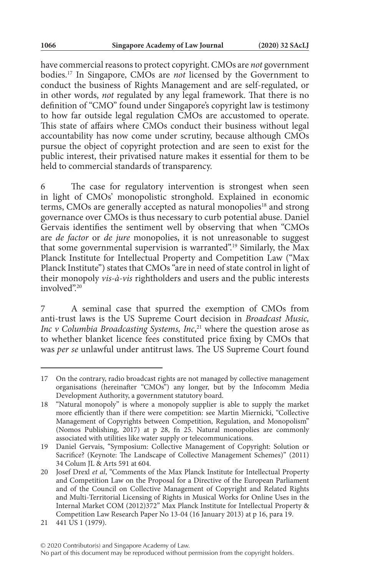have commercial reasons to protect copyright. CMOs are *not* government bodies.17 In Singapore, CMOs are *not* licensed by the Government to conduct the business of Rights Management and are self-regulated, or in other words, *not* regulated by any legal framework. That there is no definition of "CMO" found under Singapore's copyright law is testimony to how far outside legal regulation CMOs are accustomed to operate. This state of affairs where CMOs conduct their business without legal accountability has now come under scrutiny, because although CMOs pursue the object of copyright protection and are seen to exist for the public interest, their privatised nature makes it essential for them to be held to commercial standards of transparency.

6 The case for regulatory intervention is strongest when seen in light of CMOs' monopolistic stronghold. Explained in economic terms, CMOs are generally accepted as natural monopolies<sup>18</sup> and strong governance over CMOs is thus necessary to curb potential abuse. Daniel Gervais identifies the sentiment well by observing that when "CMOs are *de factor* or *de jure* monopolies, it is not unreasonable to suggest that some governmental supervision is warranted".19 Similarly, the Max Planck Institute for Intellectual Property and Competition Law ("Max Planck Institute") states that CMOs "are in need of state control in light of their monopoly *vis-à-vis* rightholders and users and the public interests involved"<sup>20</sup>

7 A seminal case that spurred the exemption of CMOs from anti-trust laws is the US Supreme Court decision in *Broadcast Music, Inc v Columbia Broadcasting Systems, Inc*, 21 where the question arose as to whether blanket licence fees constituted price fixing by CMOs that was *per se* unlawful under antitrust laws. The US Supreme Court found

<sup>17</sup> On the contrary, radio broadcast rights are not managed by collective management organisations (hereinafter "CMOs") any longer, but by the Infocomm Media Development Authority, a government statutory board.

<sup>18</sup> "Natural monopoly" is where a monopoly supplier is able to supply the market more efficiently than if there were competition: see Martin Miernicki, "Collective Management of Copyrights between Competition, Regulation, and Monopolism" (Nomos Publishing, 2017) at p 28, fn 25. Natural monopolies are commonly associated with utilities like water supply or telecommunications.

<sup>19</sup> Daniel Gervais, "Symposium: Collective Management of Copyright: Solution or Sacrifice? (Keynote: The Landscape of Collective Management Schemes)" (2011) 34 Colum JL & Arts 591 at 604.

<sup>20</sup> Josef Drexl *et al*, "Comments of the Max Planck Institute for Intellectual Property and Competition Law on the Proposal for a Directive of the European Parliament and of the Council on Collective Management of Copyright and Related Rights and Multi-Territorial Licensing of Rights in Musical Works for Online Uses in the Internal Market COM (2012)372" Max Planck Institute for Intellectual Property & Competition Law Research Paper No 13-04 (16 January 2013) at p 16, para 19.

<sup>21</sup> 441 US 1 (1979).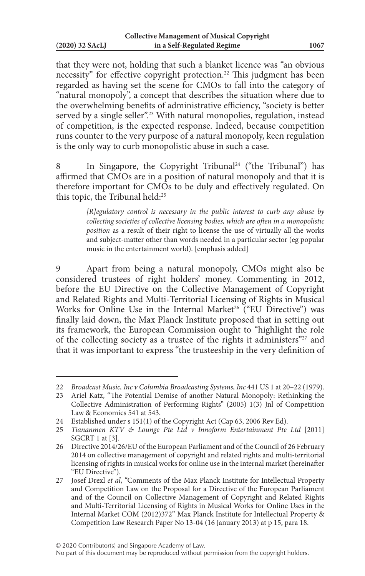that they were not, holding that such a blanket licence was "an obvious necessity" for effective copyright protection.<sup>22</sup> This judgment has been regarded as having set the scene for CMOs to fall into the category of "natural monopoly", a concept that describes the situation where due to the overwhelming benefits of administrative efficiency, "society is better served by a single seller".<sup>23</sup> With natural monopolies, regulation, instead of competition, is the expected response. Indeed, because competition runs counter to the very purpose of a natural monopoly, keen regulation is the only way to curb monopolistic abuse in such a case.

8 In Singapore, the Copyright Tribunal<sup>24</sup> ("the Tribunal") has affirmed that CMOs are in a position of natural monopoly and that it is therefore important for CMOs to be duly and effectively regulated. On this topic, the Tribunal held:<sup>25</sup>

> *[R]egulatory control is necessary in the public interest to curb any abuse by collecting societies of collective licensing bodies, which are often in a monopolistic position* as a result of their right to license the use of virtually all the works and subject-matter other than words needed in a particular sector (eg popular music in the entertainment world). [emphasis added]

9 Apart from being a natural monopoly, CMOs might also be considered trustees of right holders' money. Commenting in 2012, before the EU Directive on the Collective Management of Copyright and Related Rights and Multi-Territorial Licensing of Rights in Musical Works for Online Use in the Internal Market<sup>26</sup> ("EU Directive") was finally laid down, the Max Planck Institute proposed that in setting out its framework, the European Commission ought to "highlight the role of the collecting society as a trustee of the rights it administers"<sup>27</sup> and that it was important to express "the trusteeship in the very definition of

<sup>22</sup> *Broadcast Music, Inc v Columbia Broadcasting Systems, Inc* 441 US 1 at 20–22 (1979).

<sup>23</sup> Ariel Katz, "The Potential Demise of another Natural Monopoly: Rethinking the Collective Administration of Performing Rights" (2005) 1(3) Jnl of Competition Law & Economics 541 at 543.

<sup>24</sup> Established under s 151(1) of the Copyright Act (Cap 63, 2006 Rev Ed).

<sup>25</sup> *Tiananmen KTV & Lounge Pte Ltd v Innoform Entertainment Pte Ltd* [2011] SGCRT 1 at [3].

<sup>26</sup> Directive 2014/26/EU of the European Parliament and of the Council of 26 February 2014 on collective management of copyright and related rights and multi-territorial licensing of rights in musical works for online use in the internal market (hereinafter "EU Directive").

<sup>27</sup> Josef Drexl *et al*, "Comments of the Max Planck Institute for Intellectual Property and Competition Law on the Proposal for a Directive of the European Parliament and of the Council on Collective Management of Copyright and Related Rights and Multi-Territorial Licensing of Rights in Musical Works for Online Uses in the Internal Market COM (2012)372" Max Planck Institute for Intellectual Property & Competition Law Research Paper No 13-04 (16 January 2013) at p 15, para 18.

No part of this document may be reproduced without permission from the copyright holders.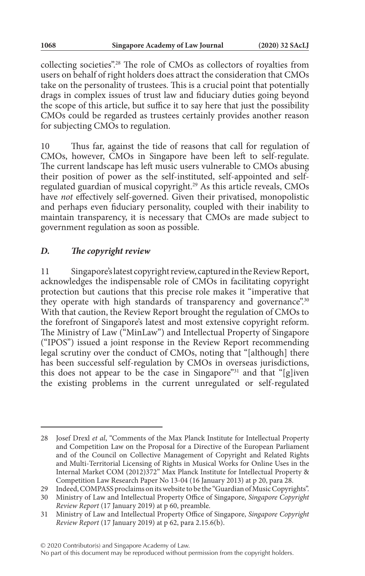collecting societies".28 The role of CMOs as collectors of royalties from users on behalf of right holders does attract the consideration that CMOs take on the personality of trustees. This is a crucial point that potentially drags in complex issues of trust law and fiduciary duties going beyond the scope of this article, but suffice it to say here that just the possibility CMOs could be regarded as trustees certainly provides another reason for subjecting CMOs to regulation.

10 Thus far, against the tide of reasons that call for regulation of CMOs, however, CMOs in Singapore have been left to self-regulate. The current landscape has left music users vulnerable to CMOs abusing their position of power as the self-instituted, self-appointed and selfregulated guardian of musical copyright.29 As this article reveals, CMOs have *not* effectively self-governed. Given their privatised, monopolistic and perhaps even fiduciary personality, coupled with their inability to maintain transparency, it is necessary that CMOs are made subject to government regulation as soon as possible.

### *D. The copyright review*

11 Singapore's latest copyright review, captured in the Review Report, acknowledges the indispensable role of CMOs in facilitating copyright protection but cautions that this precise role makes it "imperative that they operate with high standards of transparency and governance".<sup>30</sup> With that caution, the Review Report brought the regulation of CMOs to the forefront of Singapore's latest and most extensive copyright reform. The Ministry of Law ("MinLaw") and Intellectual Property of Singapore ("IPOS") issued a joint response in the Review Report recommending legal scrutiny over the conduct of CMOs, noting that "[although] there has been successful self-regulation by CMOs in overseas jurisdictions, this does not appear to be the case in Singapore"31 and that "[g]iven the existing problems in the current unregulated or self-regulated

<sup>28</sup> Josef Drexl *et al*, "Comments of the Max Planck Institute for Intellectual Property and Competition Law on the Proposal for a Directive of the European Parliament and of the Council on Collective Management of Copyright and Related Rights and Multi-Territorial Licensing of Rights in Musical Works for Online Uses in the Internal Market COM (2012)372" Max Planck Institute for Intellectual Property & Competition Law Research Paper No 13-04 (16 January 2013) at p 20, para 28.

<sup>29</sup> Indeed, COMPASS proclaims on its website to be the "Guardian of Music Copyrights".

<sup>30</sup> Ministry of Law and Intellectual Property Office of Singapore, *Singapore Copyright Review Report* (17 January 2019) at p 60, preamble.

<sup>31</sup> Ministry of Law and Intellectual Property Office of Singapore, *Singapore Copyright Review Report* (17 January 2019) at p 62, para 2.15.6(b).

No part of this document may be reproduced without permission from the copyright holders.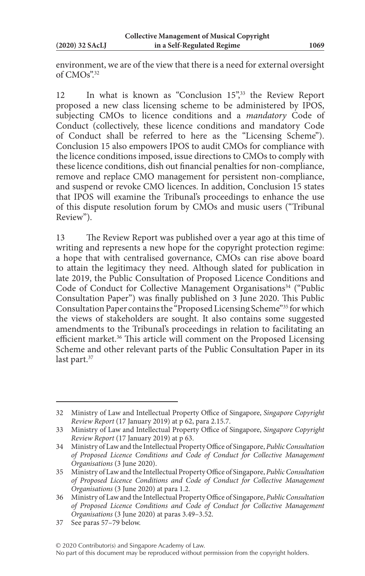environment, we are of the view that there is a need for external oversight of CMOs".32

12 In what is known as "Conclusion 15",<sup>33</sup> the Review Report proposed a new class licensing scheme to be administered by IPOS, subjecting CMOs to licence conditions and a *mandatory* Code of Conduct (collectively, these licence conditions and mandatory Code of Conduct shall be referred to here as the "Licensing Scheme"). Conclusion 15 also empowers IPOS to audit CMOs for compliance with the licence conditions imposed, issue directions to CMOs to comply with these licence conditions, dish out financial penalties for non-compliance, remove and replace CMO management for persistent non-compliance, and suspend or revoke CMO licences. In addition, Conclusion 15 states that IPOS will examine the Tribunal's proceedings to enhance the use of this dispute resolution forum by CMOs and music users ("Tribunal Review").

13 The Review Report was published over a year ago at this time of writing and represents a new hope for the copyright protection regime: a hope that with centralised governance, CMOs can rise above board to attain the legitimacy they need. Although slated for publication in late 2019, the Public Consultation of Proposed Licence Conditions and Code of Conduct for Collective Management Organisations<sup>34</sup> ("Public Consultation Paper") was finally published on 3 June 2020. This Public Consultation Paper contains the "Proposed Licensing Scheme"35 for which the views of stakeholders are sought. It also contains some suggested amendments to the Tribunal's proceedings in relation to facilitating an efficient market.<sup>36</sup> This article will comment on the Proposed Licensing Scheme and other relevant parts of the Public Consultation Paper in its last part.<sup>37</sup>

<sup>32</sup> Ministry of Law and Intellectual Property Office of Singapore, *Singapore Copyright Review Report* (17 January 2019) at p 62, para 2.15.7.

<sup>33</sup> Ministry of Law and Intellectual Property Office of Singapore, *Singapore Copyright Review Report* (17 January 2019) at p 63.

<sup>34</sup> Ministry of Law and the Intellectual Property Office of Singapore, *Public Consultation of Proposed Licence Conditions and Code of Conduct for Collective Management Organisations* (3 June 2020).

<sup>35</sup> Ministry of Law and the Intellectual Property Office of Singapore, *Public Consultation of Proposed Licence Conditions and Code of Conduct for Collective Management Organisations* (3 June 2020) at para 1.2.

<sup>36</sup> Ministry of Law and the Intellectual Property Office of Singapore, *Public Consultation of Proposed Licence Conditions and Code of Conduct for Collective Management Organisations* (3 June 2020) at paras 3.49–3.52.

<sup>37</sup> See paras 57–79 below.

No part of this document may be reproduced without permission from the copyright holders.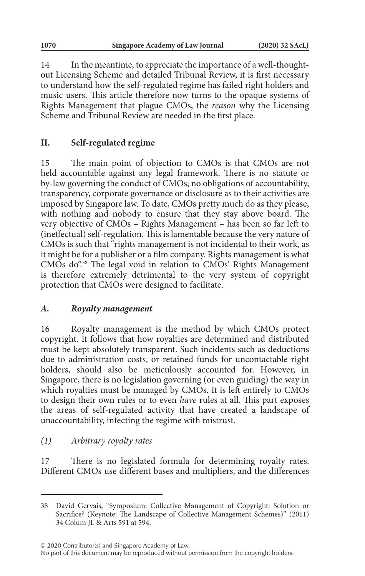14 In the meantime, to appreciate the importance of a well-thoughtout Licensing Scheme and detailed Tribunal Review, it is first necessary to understand how the self-regulated regime has failed right holders and music users. This article therefore now turns to the opaque systems of Rights Management that plague CMOs, the *reason* why the Licensing Scheme and Tribunal Review are needed in the first place.

# **II. Self-regulated regime**

15 The main point of objection to CMOs is that CMOs are not held accountable against any legal framework. There is no statute or by-law governing the conduct of CMOs; no obligations of accountability, transparency, corporate governance or disclosure as to their activities are imposed by Singapore law. To date, CMOs pretty much do as they please, with nothing and nobody to ensure that they stay above board. The very objective of CMOs – Rights Management – has been so far left to (ineffectual) self-regulation. This is lamentable because the very nature of CMOs is such that "rights management is not incidental to their work, as it might be for a publisher or a film company. Rights management is what CMOs do".38 The legal void in relation to CMOs' Rights Management is therefore extremely detrimental to the very system of copyright protection that CMOs were designed to facilitate.

# *A. Royalty management*

16 Royalty management is the method by which CMOs protect copyright. It follows that how royalties are determined and distributed must be kept absolutely transparent. Such incidents such as deductions due to administration costs, or retained funds for uncontactable right holders, should also be meticulously accounted for. However, in Singapore, there is no legislation governing (or even guiding) the way in which royalties must be managed by CMOs. It is left entirely to CMOs to design their own rules or to even *have* rules at all. This part exposes the areas of self-regulated activity that have created a landscape of unaccountability, infecting the regime with mistrust.

# *(1) Arbitrary royalty rates*

17 There is no legislated formula for determining royalty rates. Different CMOs use different bases and multipliers, and the differences

© 2020 Contributor(s) and Singapore Academy of Law.

<sup>38</sup> David Gervais, "Symposium: Collective Management of Copyright: Solution or Sacrifice? (Keynote: The Landscape of Collective Management Schemes)" (2011) 34 Colum JL & Arts 591 at 594.

No part of this document may be reproduced without permission from the copyright holders.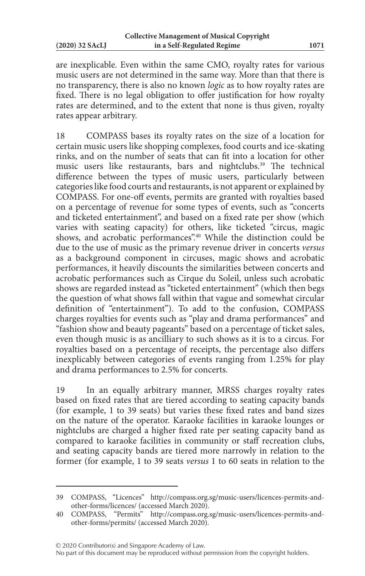are inexplicable. Even within the same CMO, royalty rates for various music users are not determined in the same way. More than that there is no transparency, there is also no known *logic* as to how royalty rates are fixed. There is no legal obligation to offer justification for how royalty rates are determined, and to the extent that none is thus given, royalty rates appear arbitrary.

18 COMPASS bases its royalty rates on the size of a location for certain music users like shopping complexes, food courts and ice-skating rinks, and on the number of seats that can fit into a location for other music users like restaurants, bars and nightclubs.<sup>39</sup> The technical difference between the types of music users, particularly between categories like food courts and restaurants, is not apparent or explained by COMPASS. For one-off events, permits are granted with royalties based on a percentage of revenue for some types of events, such as "concerts and ticketed entertainment", and based on a fixed rate per show (which varies with seating capacity) for others, like ticketed "circus, magic shows, and acrobatic performances".<sup>40</sup> While the distinction could be due to the use of music as the primary revenue driver in concerts *versus* as a background component in circuses, magic shows and acrobatic performances, it heavily discounts the similarities between concerts and acrobatic performances such as Cirque du Soleil, unless such acrobatic shows are regarded instead as "ticketed entertainment" (which then begs the question of what shows fall within that vague and somewhat circular definition of "entertainment"). To add to the confusion, COMPASS charges royalties for events such as "play and drama performances" and "fashion show and beauty pageants" based on a percentage of ticket sales, even though music is as ancilliary to such shows as it is to a circus. For royalties based on a percentage of receipts, the percentage also differs inexplicably between categories of events ranging from 1.25% for play and drama performances to 2.5% for concerts.

19 In an equally arbitrary manner, MRSS charges royalty rates based on fixed rates that are tiered according to seating capacity bands (for example, 1 to 39 seats) but varies these fixed rates and band sizes on the nature of the operator. Karaoke facilities in karaoke lounges or nightclubs are charged a higher fixed rate per seating capacity band as compared to karaoke facilities in community or staff recreation clubs, and seating capacity bands are tiered more narrowly in relation to the former (for example, 1 to 39 seats *versus* 1 to 60 seats in relation to the

© 2020 Contributor(s) and Singapore Academy of Law.

<sup>39</sup> COMPASS, "Licences" http://compass.org.sg/music-users/licences-permits-andother-forms/licences/ (accessed March 2020).

<sup>40</sup> COMPASS, "Permits" http://compass.org.sg/music-users/licences-permits-andother-forms/permits/ (accessed March 2020).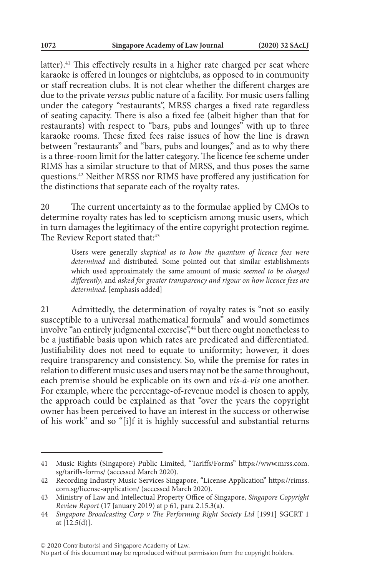latter).<sup>41</sup> This effectively results in a higher rate charged per seat where karaoke is offered in lounges or nightclubs, as opposed to in community or staff recreation clubs. It is not clear whether the different charges are due to the private *versus* public nature of a facility. For music users falling under the category "restaurants", MRSS charges a fixed rate regardless of seating capacity. There is also a fixed fee (albeit higher than that for restaurants) with respect to "bars, pubs and lounges" with up to three karaoke rooms. These fixed fees raise issues of how the line is drawn between "restaurants" and "bars, pubs and lounges," and as to why there is a three-room limit for the latter category. The licence fee scheme under RIMS has a similar structure to that of MRSS, and thus poses the same questions.42 Neither MRSS nor RIMS have proffered any justification for the distinctions that separate each of the royalty rates.

20 The current uncertainty as to the formulae applied by CMOs to determine royalty rates has led to scepticism among music users, which in turn damages the legitimacy of the entire copyright protection regime. The Review Report stated that:<sup>43</sup>

> Users were generally *skeptical as to how the quantum of licence fees were determined* and distributed. Some pointed out that similar establishments which used approximately the same amount of music *seemed to be charged differently*, and *asked for greater transparency and rigour on how licence fees are determined*. [emphasis added]

21 Admittedly, the determination of royalty rates is "not so easily susceptible to a universal mathematical formula" and would sometimes involve "an entirely judgmental exercise",<sup>44</sup> but there ought nonetheless to be a justifiable basis upon which rates are predicated and differentiated. Justifiability does not need to equate to uniformity; however, it does require transparency and consistency. So, while the premise for rates in relation to different music uses and users may not be the same throughout, each premise should be explicable on its own and *vis-à-vis* one another. For example, where the percentage-of-revenue model is chosen to apply, the approach could be explained as that "over the years the copyright owner has been perceived to have an interest in the success or otherwise of his work" and so "[i]f it is highly successful and substantial returns

<sup>41</sup> Music Rights (Singapore) Public Limited, "Tariffs/Forms" https://www.mrss.com. sg/tariffs-forms/ (accessed March 2020).

<sup>42</sup> Recording Industry Music Services Singapore, "License Application" https://rimss. com.sg/license-application/ (accessed March 2020).

<sup>43</sup> Ministry of Law and Intellectual Property Office of Singapore, *Singapore Copyright Review Report* (17 January 2019) at p 61, para 2.15.3(a).

<sup>44</sup> *Singapore Broadcasting Corp v The Performing Right Society Ltd* [1991] SGCRT 1 at [12.5(d)].

<sup>© 2020</sup> Contributor(s) and Singapore Academy of Law.

No part of this document may be reproduced without permission from the copyright holders.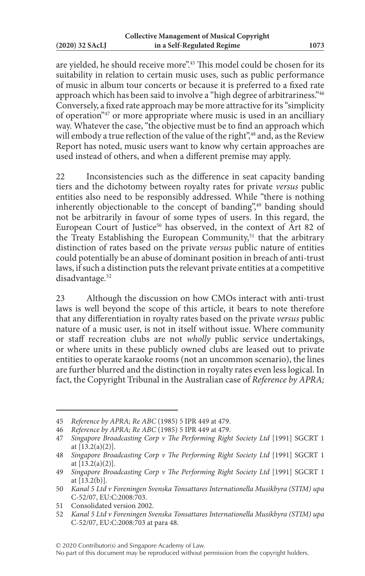are yielded, he should receive more".<sup>45</sup> This model could be chosen for its suitability in relation to certain music uses, such as public performance of music in album tour concerts or because it is preferred to a fixed rate approach which has been said to involve a "high degree of arbitrariness."46 Conversely, a fixed rate approach may be more attractive for its "simplicity of operation"47 or more appropriate where music is used in an ancilliary way. Whatever the case, "the objective must be to find an approach which will embody a true reflection of the value of the right", $48$  and, as the Review Report has noted, music users want to know why certain approaches are used instead of others, and when a different premise may apply.

22 Inconsistencies such as the difference in seat capacity banding tiers and the dichotomy between royalty rates for private *versus* public entities also need to be responsibly addressed. While "there is nothing inherently objectionable to the concept of banding",<sup>49</sup> banding should not be arbitrarily in favour of some types of users. In this regard, the European Court of Justice<sup>50</sup> has observed, in the context of Art 82 of the Treaty Establishing the European Community,<sup>51</sup> that the arbitrary distinction of rates based on the private *versus* public nature of entities could potentially be an abuse of dominant position in breach of anti-trust laws, if such a distinction puts the relevant private entities at a competitive disadvantage.<sup>52</sup>

23 Although the discussion on how CMOs interact with anti-trust laws is well beyond the scope of this article, it bears to note therefore that any differentiation in royalty rates based on the private *versus* public nature of a music user, is not in itself without issue. Where community or staff recreation clubs are not *wholly* public service undertakings, or where units in these publicly owned clubs are leased out to private entities to operate karaoke rooms (not an uncommon scenario), the lines are further blurred and the distinction in royalty rates even less logical. In fact, the Copyright Tribunal in the Australian case of *Reference by APRA;* 

© 2020 Contributor(s) and Singapore Academy of Law.

<sup>45</sup> *Reference by APRA; Re ABC* (1985) 5 IPR 449 at 479.

<sup>46</sup> *Reference by APRA; Re ABC* (1985) 5 IPR 449 at 479.

<sup>47</sup> *Singapore Broadcasting Corp v The Performing Right Society Ltd* [1991] SGCRT 1 at  $[13.2(a)(2)]$ .

<sup>48</sup> *Singapore Broadcasting Corp v The Performing Right Society Ltd* [1991] SGCRT 1 at  $[13.2(a)(2)].$ 

<sup>49</sup> *Singapore Broadcasting Corp v The Performing Right Society Ltd* [1991] SGCRT 1 at [13.2(b)].

<sup>50</sup> *Kanal 5 Ltd v Foreningen Svenska Tonsattares Internationella Musikbyra (STIM) upa* C-52/07, EU:C:2008:703.

<sup>51</sup> Consolidated version 2002.

<sup>52</sup> *Kanal 5 Ltd v Foreningen Svenska Tonsattares Internationella Musikbyra (STIM) upa* C-52/07, EU:C:2008:703 at para 48.

No part of this document may be reproduced without permission from the copyright holders.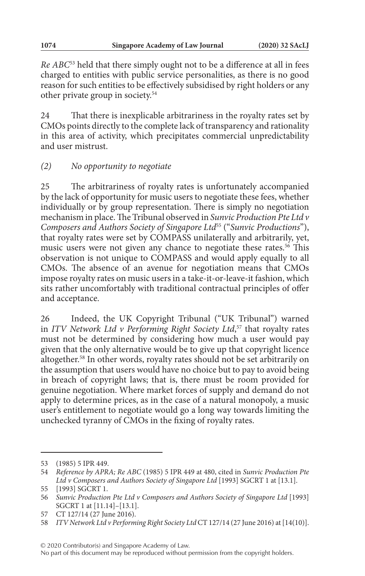*Re ABC*53 held that there simply ought not to be a difference at all in fees charged to entities with public service personalities, as there is no good reason for such entities to be effectively subsidised by right holders or any other private group in society.54

24 That there is inexplicable arbitrariness in the royalty rates set by CMOs points directly to the complete lack of transparency and rationality in this area of activity, which precipitates commercial unpredictability and user mistrust.

### *(2) No opportunity to negotiate*

25 The arbitrariness of royalty rates is unfortunately accompanied by the lack of opportunity for music users to negotiate these fees, whether individually or by group representation. There is simply no negotiation mechanism in place. The Tribunal observed in *Sunvic Production Pte Ltd v Composers and Authors Society of Singapore Ltd*55 ("*Sunvic Productions*"), that royalty rates were set by COMPASS unilaterally and arbitrarily, yet, music users were not given any chance to negotiate these rates.<sup>56</sup> This observation is not unique to COMPASS and would apply equally to all CMOs. The absence of an avenue for negotiation means that CMOs impose royalty rates on music users in a take-it-or-leave-it fashion, which sits rather uncomfortably with traditional contractual principles of offer and acceptance.

26 Indeed, the UK Copyright Tribunal ("UK Tribunal") warned in *ITV Network Ltd v Performing Right Society Ltd*, 57 that royalty rates must not be determined by considering how much a user would pay given that the only alternative would be to give up that copyright licence altogether.58 In other words, royalty rates should not be set arbitrarily on the assumption that users would have no choice but to pay to avoid being in breach of copyright laws; that is, there must be room provided for genuine negotiation. Where market forces of supply and demand do not apply to determine prices, as in the case of a natural monopoly, a music user's entitlement to negotiate would go a long way towards limiting the unchecked tyranny of CMOs in the fixing of royalty rates.

© 2020 Contributor(s) and Singapore Academy of Law.

<sup>53</sup> (1985) 5 IPR 449.

<sup>54</sup> *Reference by APRA; Re ABC* (1985) 5 IPR 449 at 480, cited in *Sunvic Production Pte Ltd v Composers and Authors Society of Singapore Ltd* [1993] SGCRT 1 at [13.1].

<sup>55</sup> [1993] SGCRT 1.

<sup>56</sup> *Sunvic Production Pte Ltd v Composers and Authors Society of Singapore Ltd* [1993] SGCRT 1 at [11.14]–[13.1].

<sup>57</sup> CT 127/14 (27 June 2016).

<sup>58</sup> *ITV Network Ltd v Performing Right Society Ltd* CT 127/14 (27 June 2016) at [14(10)].

No part of this document may be reproduced without permission from the copyright holders.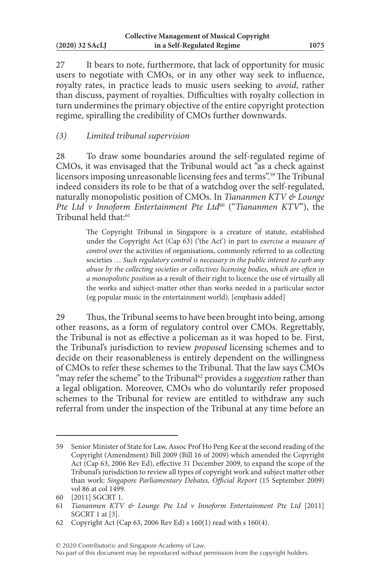27 It bears to note, furthermore, that lack of opportunity for music users to negotiate with CMOs, or in any other way seek to influence, royalty rates, in practice leads to music users seeking to *avoid*, rather than discuss, payment of royalties. Difficulties with royalty collection in turn undermines the primary objective of the entire copyright protection regime, spiralling the credibility of CMOs further downwards.

### *(3) Limited tribunal supervision*

28 To draw some boundaries around the self-regulated regime of CMOs, it was envisaged that the Tribunal would act "as a check against licensors imposing unreasonable licensing fees and terms".59 The Tribunal indeed considers its role to be that of a watchdog over the self-regulated, naturally monopolistic position of CMOs. In *Tiananmen KTV & Lounge Pte Ltd v Innoform Entertainment Pte Ltd*60 ("*Tiananmen KTV*"), the Tribunal held that:<sup>61</sup>

> The Copyright Tribunal in Singapore is a creature of statute, established under the Copyright Act (Cap 63) ('the Act') in part to *exercise a measure of control* over the activities of organisations, commonly referred to as collecting societies … *Such regulatory control is necessary in the public interest to curb any abuse by the collecting societies or collectives licensing bodies, which are often in a monopolistic position* as a result of their right to licence the use of virtually all the works and subject-matter other than works needed in a particular sector (eg popular music in the entertainment world). [emphasis added]

29 Thus, the Tribunal seems to have been brought into being, among other reasons, as a form of regulatory control over CMOs. Regrettably, the Tribunal is not as effective a policeman as it was hoped to be. First, the Tribunal's jurisdiction to review *proposed* licensing schemes and to decide on their reasonableness is entirely dependent on the willingness of CMOs to refer these schemes to the Tribunal. That the law says CMOs "may refer the scheme" to the Tribunal<sup>62</sup> provides a *suggestion* rather than a legal obligation. Moreover, CMOs who do voluntarily refer proposed schemes to the Tribunal for review are entitled to withdraw any such referral from under the inspection of the Tribunal at any time before an

© 2020 Contributor(s) and Singapore Academy of Law.

<sup>59</sup> Senior Minister of State for Law, Assoc Prof Ho Peng Kee at the second reading of the Copyright (Amendment) Bill 2009 (Bill 16 of 2009) which amended the Copyright Act (Cap 63, 2006 Rev Ed), effective 31 December 2009, to expand the scope of the Tribunal's jurisdiction to review all types of copyright work and subject matter other than work: *Singapore Parliamentary Debates, Official Report* (15 September 2009) vol 86 at col 1499.

<sup>60</sup> [2011] SGCRT 1.

<sup>61</sup> *Tiananmen KTV & Lounge Pte Ltd v Innoform Entertainment Pte Ltd* [2011] SGCRT 1 at [3].

<sup>62</sup> Copyright Act (Cap 63, 2006 Rev Ed) s 160(1) read with s 160(4).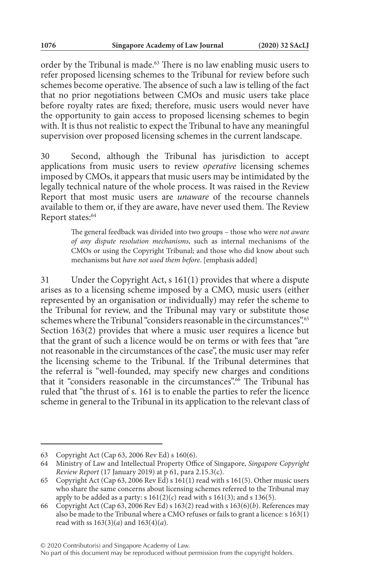order by the Tribunal is made.<sup>63</sup> There is no law enabling music users to refer proposed licensing schemes to the Tribunal for review before such schemes become operative. The absence of such a law is telling of the fact that no prior negotiations between CMOs and music users take place before royalty rates are fixed; therefore, music users would never have the opportunity to gain access to proposed licensing schemes to begin with. It is thus not realistic to expect the Tribunal to have any meaningful supervision over proposed licensing schemes in the current landscape.

30 Second, although the Tribunal has jurisdiction to accept applications from music users to review *operative* licensing schemes imposed by CMOs, it appears that music users may be intimidated by the legally technical nature of the whole process. It was raised in the Review Report that most music users are *unaware* of the recourse channels available to them or, if they are aware, have never used them. The Review Report states:<sup>64</sup>

> The general feedback was divided into two groups – those who were *not aware of any dispute resolution mechanisms*, such as internal mechanisms of the CMOs or using the Copyright Tribunal; and those who did know about such mechanisms but *have not used them before*. [emphasis added]

31 Under the Copyright Act, s 161(1) provides that where a dispute arises as to a licensing scheme imposed by a CMO, music users (either represented by an organisation or individually) may refer the scheme to the Tribunal for review, and the Tribunal may vary or substitute those schemes where the Tribunal "considers reasonable in the circumstances".65 Section 163(2) provides that where a music user requires a licence but that the grant of such a licence would be on terms or with fees that "are not reasonable in the circumstances of the case", the music user may refer the licensing scheme to the Tribunal. If the Tribunal determines that the referral is "well-founded, may specify new charges and conditions that it "considers reasonable in the circumstances".<sup>66</sup> The Tribunal has ruled that "the thrust of s. 161 is to enable the parties to refer the licence scheme in general to the Tribunal in its application to the relevant class of

© 2020 Contributor(s) and Singapore Academy of Law.

<sup>63</sup> Copyright Act (Cap 63, 2006 Rev Ed) s 160(6).

<sup>64</sup> Ministry of Law and Intellectual Property Office of Singapore, *Singapore Copyright Review Report* (17 January 2019) at p 61, para 2.15.3(c).

<sup>65</sup> Copyright Act (Cap 63, 2006 Rev Ed) s 161(1) read with s 161(5). Other music users who share the same concerns about licensing schemes referred to the Tribunal may apply to be added as a party:  $s 161(2)(c)$  read with  $s 161(3)$ ; and  $s 136(5)$ .

<sup>66</sup> Copyright Act (Cap 63, 2006 Rev Ed) s 163(2) read with s 163(6)(*b*). References may also be made to the Tribunal where a CMO refuses or fails to grant a licence: s 163(1) read with ss 163(3)(*a*) and 163(4)(*a*).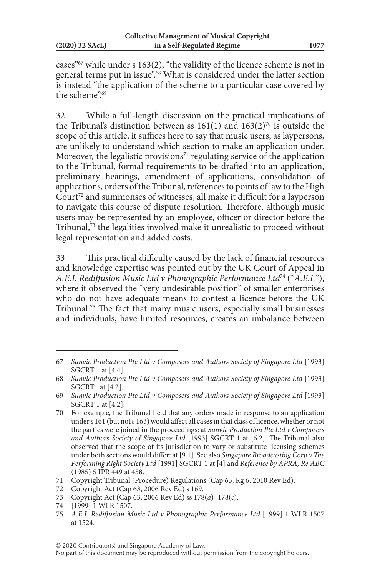cases"67 while under s 163(2), "the validity of the licence scheme is not in general terms put in issue".<sup>68</sup> What is considered under the latter section is instead "the application of the scheme to a particular case covered by the scheme".69

32 While a full-length discussion on the practical implications of the Tribunal's distinction between ss  $161(1)$  and  $163(2)^{70}$  is outside the scope of this article, it suffices here to say that music users, as laypersons, are unlikely to understand which section to make an application under. Moreover, the legalistic provisions<sup> $71$ </sup> regulating service of the application to the Tribunal, formal requirements to be drafted into an application, preliminary hearings, amendment of applications, consolidation of applications, orders of the Tribunal, references to points of law to the High Court<sup>72</sup> and summonses of witnesses, all make it difficult for a layperson to navigate this course of dispute resolution. Therefore, although music users may be represented by an employee, officer or director before the Tribunal,<sup>73</sup> the legalities involved make it unrealistic to proceed without legal representation and added costs.

33 This practical difficulty caused by the lack of financial resources and knowledge expertise was pointed out by the UK Court of Appeal in *A.E.I. Rediffusion Music Ltd v Phonographic Performance Ltd*74 ("*A.E.I.*"), where it observed the "very undesirable position" of smaller enterprises who do not have adequate means to contest a licence before the UK Tribunal.75 The fact that many music users, especially small businesses and individuals, have limited resources, creates an imbalance between

<sup>67</sup> *Sunvic Production Pte Ltd v Composers and Authors Society of Singapore Ltd* [1993] SGCRT 1 at [4.4].

<sup>68</sup> *Sunvic Production Pte Ltd v Composers and Authors Society of Singapore Ltd* [1993] SGCRT 1at [4.2].

<sup>69</sup> *Sunvic Production Pte Ltd v Composers and Authors Society of Singapore Ltd* [1993] SGCRT 1 at [4.2].

<sup>70</sup> For example, the Tribunal held that any orders made in response to an application under s 161 (but not s 163) would affect all cases in that class of licence, whether or not the parties were joined in the proceedings: at *Sunvic Production Pte Ltd v Composers and Authors Society of Singapore Ltd* [1993] SGCRT 1 at [6.2]. The Tribunal also observed that the scope of its jurisdiction to vary or substitute licensing schemes under both sections would differ: at [9.1]. See also *Singapore Broadcasting Corp v The Performing Right Society Ltd* [1991] SGCRT 1 at [4] and *Reference by APRA; Re ABC* (1985) 5 IPR 449 at 458.

<sup>71</sup> Copyright Tribunal (Procedure) Regulations (Cap 63, Rg 6, 2010 Rev Ed).

<sup>72</sup> Copyright Act (Cap 63, 2006 Rev Ed) s 169.

<sup>73</sup> Copyright Act (Cap 63, 2006 Rev Ed) ss 178(*a*)–178(*c*).

<sup>74</sup> [1999] 1 WLR 1507.

<sup>75</sup> *A.E.I. Rediffusion Music Ltd v Phonographic Performance Ltd* [1999] 1 WLR 1507 at 1524.

No part of this document may be reproduced without permission from the copyright holders.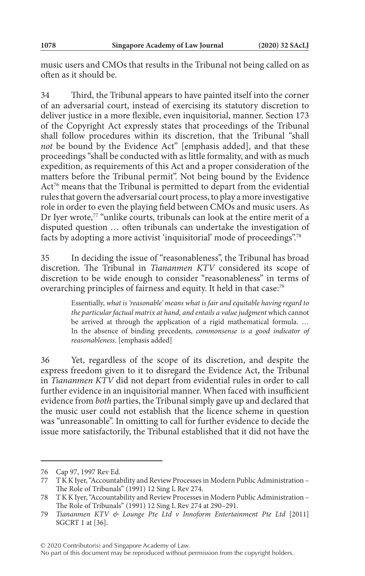music users and CMOs that results in the Tribunal not being called on as often as it should be.

34 Third, the Tribunal appears to have painted itself into the corner of an adversarial court, instead of exercising its statutory discretion to deliver justice in a more flexible, even inquisitorial, manner. Section 173 of the Copyright Act expressly states that proceedings of the Tribunal shall follow procedures within its discretion, that the Tribunal "shall *not* be bound by the Evidence Act" [emphasis added], and that these proceedings "shall be conducted with as little formality, and with as much expedition, as requirements of this Act and a proper consideration of the matters before the Tribunal permit". Not being bound by the Evidence Act<sup>76</sup> means that the Tribunal is permitted to depart from the evidential rules that govern the adversarial court process, to play a more investigative role in order to even the playing field between CMOs and music users. As Dr Iyer wrote,<sup>77</sup> "unlike courts, tribunals can look at the entire merit of a disputed question … often tribunals can undertake the investigation of facts by adopting a more activist 'inquisitorial' mode of proceedings".78

35 In deciding the issue of "reasonableness", the Tribunal has broad discretion. The Tribunal in *Tiananmen KTV* considered its scope of discretion to be wide enough to consider "reasonableness" in terms of overarching principles of fairness and equity. It held in that case:79

> Essentially, *what is 'reasonable' means what is fair and equitable having regard to the particular factual matrix at hand, and entails a value judgment* which cannot be arrived at through the application of a rigid mathematical formula. … In the absence of binding precedents, *commonsense is a good indicator of reasonableness*. [emphasis added]

36 Yet, regardless of the scope of its discretion, and despite the express freedom given to it to disregard the Evidence Act, the Tribunal in *Tiananmen KTV* did not depart from evidential rules in order to call further evidence in an inquisitorial manner. When faced with insufficient evidence from *both* parties, the Tribunal simply gave up and declared that the music user could not establish that the licence scheme in question was "unreasonable". In omitting to call for further evidence to decide the issue more satisfactorily, the Tribunal established that it did not have the

© 2020 Contributor(s) and Singapore Academy of Law.

<sup>76</sup> Cap 97, 1997 Rev Ed.

<sup>77</sup> T K K Iyer, "Accountability and Review Processes in Modern Public Administration – The Role of Tribunals" (1991) 12 Sing L Rev 274.

<sup>78</sup> T K K Iyer, "Accountability and Review Processes in Modern Public Administration – The Role of Tribunals" (1991) 12 Sing L Rev 274 at 290–291.

<sup>79</sup> *Tiananmen KTV & Lounge Pte Ltd v Innoform Entertainment Pte Ltd* [2011] SGCRT 1 at [36].

No part of this document may be reproduced without permission from the copyright holders.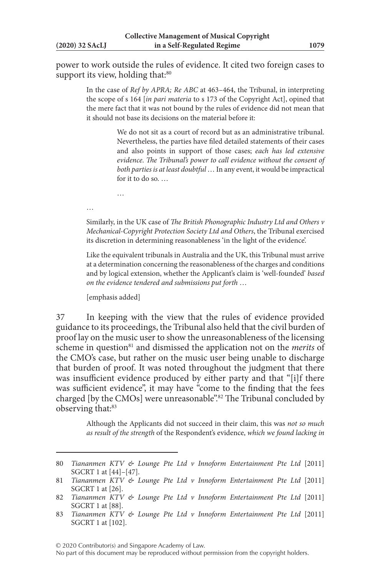power to work outside the rules of evidence. It cited two foreign cases to support its view, holding that:<sup>80</sup>

> In the case of *Ref by APRA; Re ABC* at 463–464, the Tribunal, in interpreting the scope of s 164 [*in pari materia* to s 173 of the Copyright Act], opined that the mere fact that it was not bound by the rules of evidence did not mean that it should not base its decisions on the material before it:

> > We do not sit as a court of record but as an administrative tribunal. Nevertheless, the parties have filed detailed statements of their cases and also points in support of those cases; *each has led extensive evidence*. *The Tribunal's power to call evidence without the consent of both parties is at least doubtful* … In any event, it would be impractical for it to do so. …

…

…

Similarly, in the UK case of *The British Phonographic Industry Ltd and Others v Mechanical-Copyright Protection Society Ltd and Others*, the Tribunal exercised its discretion in determining reasonableness 'in the light of the evidence'.

Like the equivalent tribunals in Australia and the UK, this Tribunal must arrive at a determination concerning the reasonableness of the charges and conditions and by logical extension, whether the Applicant's claim is 'well-founded' *based on the evidence tendered and submissions put forth* …

[emphasis added]

37 In keeping with the view that the rules of evidence provided guidance to its proceedings, the Tribunal also held that the civil burden of proof lay on the music user to show the unreasonableness of the licensing scheme in question<sup>81</sup> and dismissed the application not on the *merits* of the CMO's case, but rather on the music user being unable to discharge that burden of proof. It was noted throughout the judgment that there was insufficient evidence produced by either party and that "[i]f there was sufficient evidence", it may have "come to the finding that the fees charged [by the CMOs] were unreasonable".<sup>82</sup> The Tribunal concluded by observing that:<sup>83</sup>

> Although the Applicants did not succeed in their claim, this was *not so much as result of the strength* of the Respondent's evidence, *which we found lacking in*

© 2020 Contributor(s) and Singapore Academy of Law.

<sup>80</sup> *Tiananmen KTV & Lounge Pte Ltd v Innoform Entertainment Pte Ltd* [2011] SGCRT 1 at [44]–[47].

<sup>81</sup> *Tiananmen KTV & Lounge Pte Ltd v Innoform Entertainment Pte Ltd* [2011] SGCRT 1 at [26].

<sup>82</sup> *Tiananmen KTV & Lounge Pte Ltd v Innoform Entertainment Pte Ltd* [2011] SGCRT 1 at [88].

<sup>83</sup> *Tiananmen KTV & Lounge Pte Ltd v Innoform Entertainment Pte Ltd* [2011] SGCRT 1 at [102].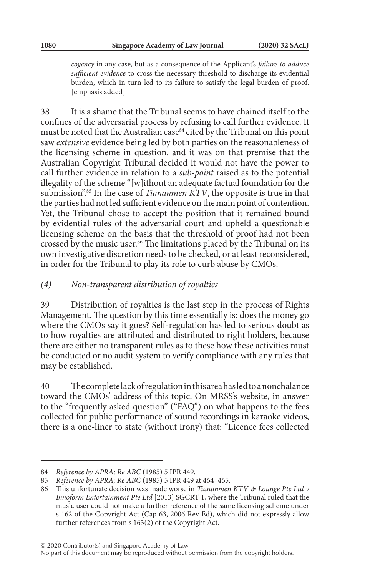*cogency* in any case, but as a consequence of the Applicant's *failure to adduce sufficient evidence* to cross the necessary threshold to discharge its evidential burden, which in turn led to its failure to satisfy the legal burden of proof. [emphasis added]

38 It is a shame that the Tribunal seems to have chained itself to the confines of the adversarial process by refusing to call further evidence. It must be noted that the Australian case<sup>84</sup> cited by the Tribunal on this point saw *extensive* evidence being led by both parties on the reasonableness of the licensing scheme in question, and it was on that premise that the Australian Copyright Tribunal decided it would not have the power to call further evidence in relation to a *sub-point* raised as to the potential illegality of the scheme "[w]ithout an adequate factual foundation for the submission".85 In the case of *Tiananmen KTV*, the opposite is true in that the parties had not led sufficient evidence on the main point of contention. Yet, the Tribunal chose to accept the position that it remained bound by evidential rules of the adversarial court and upheld a questionable licensing scheme on the basis that the threshold of proof had not been crossed by the music user.<sup>86</sup> The limitations placed by the Tribunal on its own investigative discretion needs to be checked, or at least reconsidered, in order for the Tribunal to play its role to curb abuse by CMOs.

#### *(4) Non-transparent distribution of royalties*

39 Distribution of royalties is the last step in the process of Rights Management. The question by this time essentially is: does the money go where the CMOs say it goes? Self-regulation has led to serious doubt as to how royalties are attributed and distributed to right holders, because there are either no transparent rules as to these how these activities must be conducted or no audit system to verify compliance with any rules that may be established.

40 The complete lack of regulation in this area has led to a nonchalance toward the CMOs' address of this topic. On MRSS's website, in answer to the "frequently asked question" ("FAQ") on what happens to the fees collected for public performance of sound recordings in karaoke videos, there is a one-liner to state (without irony) that: "Licence fees collected

<sup>84</sup> *Reference by APRA; Re ABC* (1985) 5 IPR 449.

<sup>85</sup> *Reference by APRA; Re ABC* (1985) 5 IPR 449 at 464–465.

<sup>86</sup> This unfortunate decision was made worse in *Tiananmen KTV & Lounge Pte Ltd v Innoform Entertainment Pte Ltd* [2013] SGCRT 1, where the Tribunal ruled that the music user could not make a further reference of the same licensing scheme under s 162 of the Copyright Act (Cap 63, 2006 Rev Ed), which did not expressly allow further references from s 163(2) of the Copyright Act.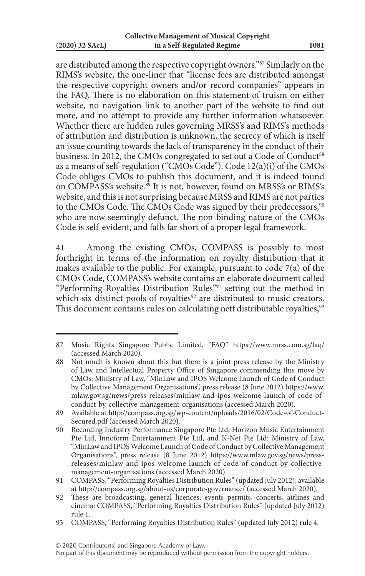are distributed among the respective copyright owners."87 Similarly on the RIMS's website, the one-liner that "license fees are distributed amongst the respective copyright owners and/or record companies" appears in the FAQ. There is no elaboration on this statement of truism on either website, no navigation link to another part of the website to find out more, and no attempt to provide any further information whatsoever. Whether there are hidden rules governing MRSS's and RIMS's methods of attribution and distribution is unknown, the secrecy of which is itself an issue counting towards the lack of transparency in the conduct of their business. In 2012, the CMOs congregated to set out a Code of Conduct<sup>88</sup> as a means of self-regulation ("CMOs Code"). Code 12(a)(i) of the CMOs Code obliges CMOs to publish this document, and it is indeed found on COMPASS's website.89 It is not, however, found on MRSS's or RIMS's website, and this is not surprising because MRSS and RIMS are not parties to the CMOs Code. The CMOs Code was signed by their predecessors,<sup>90</sup> who are now seemingly defunct. The non-binding nature of the CMOs Code is self-evident, and falls far short of a proper legal framework.

41 Among the existing CMOs, COMPASS is possibly to most forthright in terms of the information on royalty distribution that it makes available to the public. For example, pursuant to code 7(a) of the CMOs Code, COMPASS's website contains an elaborate document called "Performing Royalties Distribution Rules"91 setting out the method in which six distinct pools of royalties<sup>92</sup> are distributed to music creators. This document contains rules on calculating nett distributable royalties,<sup>93</sup>

<sup>87</sup> Music Rights Singapore Public Limited, "FAQ" https://www.mrss.com.sg/faq/ (accessed March 2020).

<sup>88</sup> Not much is known about this but there is a joint press release by the Ministry of Law and Intellectual Property Office of Singapore commending this move by CMOs: Ministry of Law, "MinLaw and IPOS Welcome Launch of Code of Conduct by Collective Management Organisations", press release (8 June 2012) https://www. mlaw.gov.sg/news/press-releases/minlaw-and-ipos-welcome-launch-of-code-ofconduct-by-collective-management-organisations (accessed March 2020).

<sup>89</sup> Available at http://compass.org.sg/wp-content/uploads/2016/02/Code-of-Conduct-Secured.pdf (accessed March 2020).

<sup>90</sup> Recording Industry Performance Singapore Pte Ltd, Horizon Music Entertainment Pte Ltd, Innoform Entertainment Pte Ltd, and K-Net Pte Ltd: Ministry of Law, "MinLaw and IPOS Welcome Launch of Code of Conduct by Collective Management Organisations", press release (8 June 2012) https://www.mlaw.gov.sg/news/pressreleases/minlaw-and-ipos-welcome-launch-of-code-of-conduct-by-collectivemanagement-organisations (accessed March 2020).

<sup>91</sup> COMPASS, "Performing Royalties Distribution Rules" (updated July 2012), available at http://compass.org.sg/about-us/corporate-governance/ (accessed March 2020).

<sup>92</sup> These are broadcasting, general licences, events permits, concerts, airlines and cinema: COMPASS, "Performing Royalties Distribution Rules" (updated July 2012) rule 1.

<sup>93</sup> COMPASS, "Performing Royalties Distribution Rules" (updated July 2012) rule 4.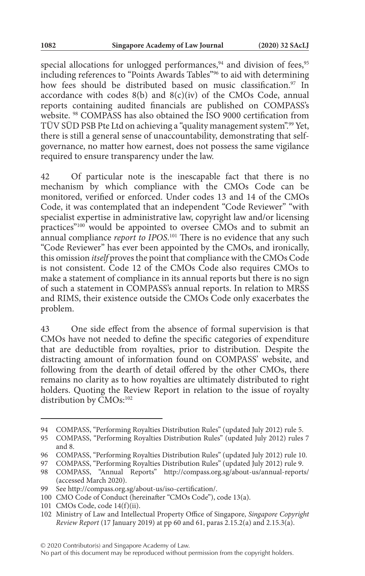special allocations for unlogged performances,<sup>94</sup> and division of fees,<sup>95</sup> including references to "Points Awards Tables"96 to aid with determining how fees should be distributed based on music classification.<sup>97</sup> In accordance with codes 8(b) and 8(c)(iv) of the CMOs Code, annual reports containing audited financials are published on COMPASS's website. <sup>98</sup> COMPASS has also obtained the ISO 9000 certification from TÜV SÜD PSB Pte Ltd on achieving a "quality management system".99 Yet, there is still a general sense of unaccountability, demonstrating that selfgovernance, no matter how earnest, does not possess the same vigilance required to ensure transparency under the law.

42 Of particular note is the inescapable fact that there is no mechanism by which compliance with the CMOs Code can be monitored, verified or enforced. Under codes 13 and 14 of the CMOs Code, it was contemplated that an independent "Code Reviewer" "with specialist expertise in administrative law, copyright law and/or licensing practices"<sup>100</sup> would be appointed to oversee CMOs and to submit an annual compliance *report to IPOS*. 101 There is no evidence that any such "Code Reviewer" has ever been appointed by the CMOs, and ironically, this omission *itself* proves the point that compliance with the CMOs Code is not consistent. Code 12 of the CMOs Code also requires CMOs to make a statement of compliance in its annual reports but there is no sign of such a statement in COMPASS's annual reports. In relation to MRSS and RIMS, their existence outside the CMOs Code only exacerbates the problem.

43 One side effect from the absence of formal supervision is that CMOs have not needed to define the specific categories of expenditure that are deductible from royalties, prior to distribution. Despite the distracting amount of information found on COMPASS' website, and following from the dearth of detail offered by the other CMOs, there remains no clarity as to how royalties are ultimately distributed to right holders. Quoting the Review Report in relation to the issue of royalty distribution by CMOs:<sup>102</sup>

<sup>94</sup> COMPASS, "Performing Royalties Distribution Rules" (updated July 2012) rule 5.

<sup>95</sup> COMPASS, "Performing Royalties Distribution Rules" (updated July 2012) rules 7 and 8.

<sup>96</sup> COMPASS, "Performing Royalties Distribution Rules" (updated July 2012) rule 10.

<sup>97</sup> COMPASS, "Performing Royalties Distribution Rules" (updated July 2012) rule 9.

<sup>98</sup> COMPASS, "Annual Reports" http://compass.org.sg/about-us/annual-reports/ (accessed March 2020).

<sup>99</sup> See http://compass.org.sg/about-us/iso-certification/.

<sup>100</sup> CMO Code of Conduct (hereinafter "CMOs Code"), code 13(a).

<sup>101</sup> CMOs Code, code 14(f)(ii).

<sup>102</sup> Ministry of Law and Intellectual Property Office of Singapore, *Singapore Copyright Review Report* (17 January 2019) at pp 60 and 61, paras 2.15.2(a) and 2.15.3(a).

No part of this document may be reproduced without permission from the copyright holders.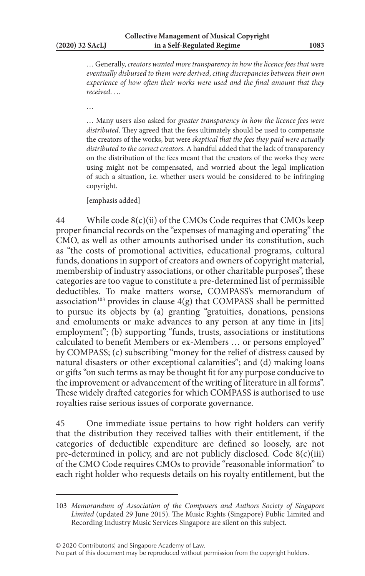… Generally, *creators wanted more transparency in how the licence fees that were eventually disbursed to them were derived*, *citing discrepancies between their own experience of how often their works were used and the final amount that they received*. …

…

… Many users also asked for *greater transparency in how the licence fees were distributed*. They agreed that the fees ultimately should be used to compensate the creators of the works, but were *skeptical that the fees they paid were actually distributed to the correct creators*. A handful added that the lack of transparency on the distribution of the fees meant that the creators of the works they were using might not be compensated, and worried about the legal implication of such a situation, i.e. whether users would be considered to be infringing copyright.

[emphasis added]

44 While code 8(c)(ii) of the CMOs Code requires that CMOs keep proper financial records on the "expenses of managing and operating" the CMO, as well as other amounts authorised under its constitution, such as "the costs of promotional activities, educational programs, cultural funds, donations in support of creators and owners of copyright material, membership of industry associations, or other charitable purposes", these categories are too vague to constitute a pre-determined list of permissible deductibles. To make matters worse, COMPASS's memorandum of association<sup>103</sup> provides in clause  $4(g)$  that COMPASS shall be permitted to pursue its objects by (a) granting "gratuities, donations, pensions and emoluments or make advances to any person at any time in [its] employment"; (b) supporting "funds, trusts, associations or institutions calculated to benefit Members or ex-Members … or persons employed" by COMPASS; (c) subscribing "money for the relief of distress caused by natural disasters or other exceptional calamities"; and (d) making loans or gifts "on such terms as may be thought fit for any purpose conducive to the improvement or advancement of the writing of literature in all forms". These widely drafted categories for which COMPASS is authorised to use royalties raise serious issues of corporate governance.

45 One immediate issue pertains to how right holders can verify that the distribution they received tallies with their entitlement, if the categories of deductible expenditure are defined so loosely, are not pre-determined in policy, and are not publicly disclosed. Code  $8(c)(iii)$ of the CMO Code requires CMOs to provide "reasonable information" to each right holder who requests details on his royalty entitlement, but the

© 2020 Contributor(s) and Singapore Academy of Law.

<sup>103</sup> *Memorandum of Association of the Composers and Authors Society of Singapore Limited* (updated 29 June 2015). The Music Rights (Singapore) Public Limited and Recording Industry Music Services Singapore are silent on this subject.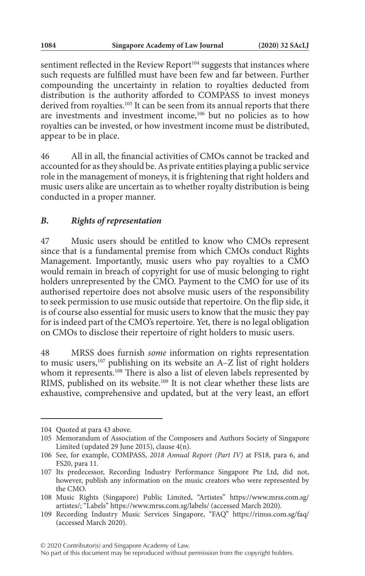sentiment reflected in the Review Report<sup>104</sup> suggests that instances where such requests are fulfilled must have been few and far between. Further compounding the uncertainty in relation to royalties deducted from distribution is the authority afforded to COMPASS to invest moneys derived from royalties.<sup>105</sup> It can be seen from its annual reports that there are investments and investment income,<sup>106</sup> but no policies as to how royalties can be invested, or how investment income must be distributed, appear to be in place.

46 All in all, the financial activities of CMOs cannot be tracked and accounted for as they should be. As private entities playing a public service role in the management of moneys, it is frightening that right holders and music users alike are uncertain as to whether royalty distribution is being conducted in a proper manner.

#### *B. Rights of representation*

47 Music users should be entitled to know who CMOs represent since that is a fundamental premise from which CMOs conduct Rights Management. Importantly, music users who pay royalties to a CMO would remain in breach of copyright for use of music belonging to right holders unrepresented by the CMO. Payment to the CMO for use of its authorised repertoire does not absolve music users of the responsibility to seek permission to use music outside that repertoire. On the flip side, it is of course also essential for music users to know that the music they pay for is indeed part of the CMO's repertoire. Yet, there is no legal obligation on CMOs to disclose their repertoire of right holders to music users.

48 MRSS does furnish *some* information on rights representation to music users,107 publishing on its website an A–Z list of right holders whom it represents.<sup>108</sup> There is also a list of eleven labels represented by RIMS, published on its website.<sup>109</sup> It is not clear whether these lists are exhaustive, comprehensive and updated, but at the very least, an effort

<sup>104</sup> Quoted at para 43 above.

<sup>105</sup> Memorandum of Association of the Composers and Authors Society of Singapore Limited (updated 29 June 2015), clause 4(n).

<sup>106</sup> See, for example, COMPASS, *2018 Annual Report (Part IV)* at FS18, para 6, and FS20, para 11.

<sup>107</sup> Its predecessor, Recording Industry Performance Singapore Pte Ltd, did not, however, publish any information on the music creators who were represented by the CMO.

<sup>108</sup> Music Rights (Singapore) Public Limited, "Artistes" https://www.mrss.com.sg/ artistes/; "Labels" https://www.mrss.com.sg/labels/ (accessed March 2020).

<sup>109</sup> Recording Industry Music Services Singapore, "FAQ" https://rimss.com.sg/faq/ (accessed March 2020).

<sup>© 2020</sup> Contributor(s) and Singapore Academy of Law.

No part of this document may be reproduced without permission from the copyright holders.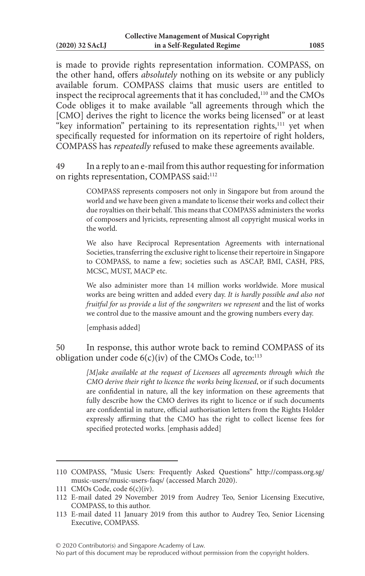is made to provide rights representation information. COMPASS, on the other hand, offers *absolutely* nothing on its website or any publicly available forum. COMPASS claims that music users are entitled to inspect the reciprocal agreements that it has concluded,<sup>110</sup> and the CMOs Code obliges it to make available "all agreements through which the [CMO] derives the right to licence the works being licensed" or at least "key information" pertaining to its representation rights, $111$  yet when specifically requested for information on its repertoire of right holders, COMPASS has *repeatedly* refused to make these agreements available.

49 In a reply to an e-mail from this author requesting for information on rights representation, COMPASS said:<sup>112</sup>

> COMPASS represents composers not only in Singapore but from around the world and we have been given a mandate to license their works and collect their due royalties on their behalf. This means that COMPASS administers the works of composers and lyricists, representing almost all copyright musical works in the world.

> We also have Reciprocal Representation Agreements with international Societies, transferring the exclusive right to license their repertoire in Singapore to COMPASS, to name a few; societies such as ASCAP, BMI, CASH, PRS, MCSC, MUST, MACP etc.

> We also administer more than 14 million works worldwide. More musical works are being written and added every day. *It is hardly possible and also not fruitful for us provide a list of the songwriters we represent* and the list of works we control due to the massive amount and the growing numbers every day.

[emphasis added]

50 In response, this author wrote back to remind COMPASS of its obligation under code  $6(c)(iv)$  of the CMOs Code, to:<sup>113</sup>

> *[M]ake available at the request of Licensees all agreements through which the CMO derive their right to licence the works being licensed*, or if such documents are confidential in nature, all the key information on these agreements that fully describe how the CMO derives its right to licence or if such documents are confidential in nature, official authorisation letters from the Rights Holder expressly affirming that the CMO has the right to collect license fees for specified protected works. [emphasis added]

© 2020 Contributor(s) and Singapore Academy of Law.

<sup>110</sup> COMPASS, "Music Users: Frequently Asked Questions" http://compass.org.sg/ music-users/music-users-faqs/ (accessed March 2020).

<sup>111</sup> CMOs Code, code 6(c)(iv).

<sup>112</sup> E-mail dated 29 November 2019 from Audrey Teo, Senior Licensing Executive, COMPASS, to this author.

<sup>113</sup> E-mail dated 11 January 2019 from this author to Audrey Teo, Senior Licensing Executive, COMPASS.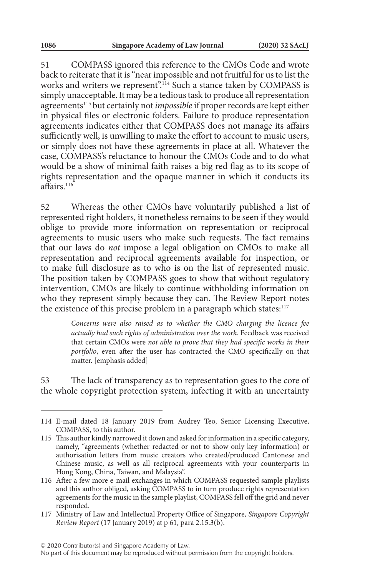51 COMPASS ignored this reference to the CMOs Code and wrote back to reiterate that it is "near impossible and not fruitful for us to list the works and writers we represent".<sup>114</sup> Such a stance taken by COMPASS is simply unacceptable. It may be a tedious task to produce all representation agreements115 but certainly not *impossible* if proper records are kept either in physical files or electronic folders. Failure to produce representation agreements indicates either that COMPASS does not manage its affairs sufficiently well, is unwilling to make the effort to account to music users, or simply does not have these agreements in place at all. Whatever the case, COMPASS's reluctance to honour the CMOs Code and to do what would be a show of minimal faith raises a big red flag as to its scope of rights representation and the opaque manner in which it conducts its affairs $116$ 

52 Whereas the other CMOs have voluntarily published a list of represented right holders, it nonetheless remains to be seen if they would oblige to provide more information on representation or reciprocal agreements to music users who make such requests. The fact remains that our laws do *not* impose a legal obligation on CMOs to make all representation and reciprocal agreements available for inspection, or to make full disclosure as to who is on the list of represented music. The position taken by COMPASS goes to show that without regulatory intervention, CMOs are likely to continue withholding information on who they represent simply because they can. The Review Report notes the existence of this precise problem in a paragraph which states: $117$ 

> *Concerns were also raised as to whether the CMO charging the licence fee actually had such rights of administration over the work.* Feedback was received that certain CMOs were *not able to prove that they had specific works in their portfolio*, even after the user has contracted the CMO specifically on that matter. [emphasis added]

53 The lack of transparency as to representation goes to the core of the whole copyright protection system, infecting it with an uncertainty

<sup>114</sup> E-mail dated 18 January 2019 from Audrey Teo, Senior Licensing Executive, COMPASS, to this author.

<sup>115</sup> This author kindly narrowed it down and asked for information in a specific category, namely, "agreements (whether redacted or not to show only key information) or authorisation letters from music creators who created/produced Cantonese and Chinese music, as well as all reciprocal agreements with your counterparts in Hong Kong, China, Taiwan, and Malaysia".

<sup>116</sup> After a few more e-mail exchanges in which COMPASS requested sample playlists and this author obliged, asking COMPASS to in turn produce rights representation agreements for the music in the sample playlist, COMPASS fell off the grid and never responded.

<sup>117</sup> Ministry of Law and Intellectual Property Office of Singapore, *Singapore Copyright Review Report* (17 January 2019) at p 61, para 2.15.3(b).

No part of this document may be reproduced without permission from the copyright holders.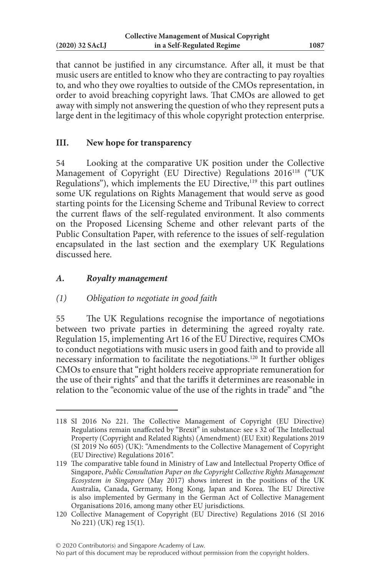that cannot be justified in any circumstance. After all, it must be that music users are entitled to know who they are contracting to pay royalties to, and who they owe royalties to outside of the CMOs representation, in order to avoid breaching copyright laws. That CMOs are allowed to get away with simply not answering the question of who they represent puts a large dent in the legitimacy of this whole copyright protection enterprise.

### **III. New hope for transparency**

54 Looking at the comparative UK position under the Collective Management of Copyright (EU Directive) Regulations 2016<sup>118</sup> ("UK Regulations"), which implements the EU Directive,<sup>119</sup> this part outlines some UK regulations on Rights Management that would serve as good starting points for the Licensing Scheme and Tribunal Review to correct the current flaws of the self-regulated environment. It also comments on the Proposed Licensing Scheme and other relevant parts of the Public Consultation Paper, with reference to the issues of self-regulation encapsulated in the last section and the exemplary UK Regulations discussed here.

### *A. Royalty management*

### *(1) Obligation to negotiate in good faith*

55 The UK Regulations recognise the importance of negotiations between two private parties in determining the agreed royalty rate. Regulation 15, implementing Art 16 of the EU Directive, requires CMOs to conduct negotiations with music users in good faith and to provide all necessary information to facilitate the negotiations.120 It further obliges CMOs to ensure that "right holders receive appropriate remuneration for the use of their rights" and that the tariffs it determines are reasonable in relation to the "economic value of the use of the rights in trade" and "the

<sup>118</sup> SI 2016 No 221. The Collective Management of Copyright (EU Directive) Regulations remain unaffected by "Brexit" in substance: see s 32 of The Intellectual Property (Copyright and Related Rights) (Amendment) (EU Exit) Regulations 2019 (SI 2019 No 605) (UK): "Amendments to the Collective Management of Copyright (EU Directive) Regulations 2016".

<sup>119</sup> The comparative table found in Ministry of Law and Intellectual Property Office of Singapore, *Public Consultation Paper on the Copyright Collective Rights Management Ecosystem in Singapore* (May 2017) shows interest in the positions of the UK Australia, Canada, Germany, Hong Kong, Japan and Korea. The EU Directive is also implemented by Germany in the German Act of Collective Management Organisations 2016, among many other EU jurisdictions.

<sup>120</sup> Collective Management of Copyright (EU Directive) Regulations 2016 (SI 2016 No 221) (UK) reg 15(1).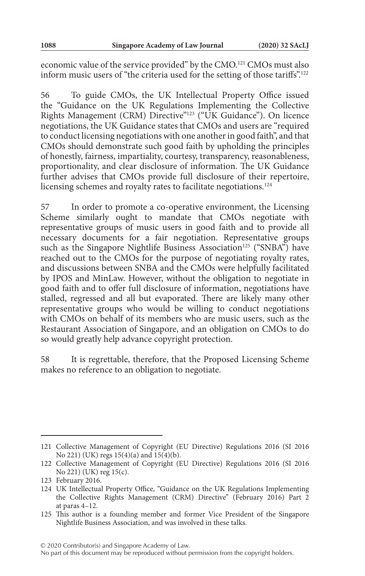economic value of the service provided" by the CMO.121 CMOs must also inform music users of "the criteria used for the setting of those tariffs".<sup>122</sup>

56 To guide CMOs, the UK Intellectual Property Office issued the "Guidance on the UK Regulations Implementing the Collective Rights Management (CRM) Directive"123 ("UK Guidance"). On licence negotiations, the UK Guidance states that CMOs and users are "required to conduct licensing negotiations with one another in good faith", and that CMOs should demonstrate such good faith by upholding the principles of honestly, fairness, impartiality, courtesy, transparency, reasonableness, proportionality, and clear disclosure of information. The UK Guidance further advises that CMOs provide full disclosure of their repertoire, licensing schemes and royalty rates to facilitate negotiations.<sup>124</sup>

57 In order to promote a co-operative environment, the Licensing Scheme similarly ought to mandate that CMOs negotiate with representative groups of music users in good faith and to provide all necessary documents for a fair negotiation. Representative groups such as the Singapore Nightlife Business Association<sup>125</sup> ("SNBA") have reached out to the CMOs for the purpose of negotiating royalty rates, and discussions between SNBA and the CMOs were helpfully facilitated by IPOS and MinLaw. However, without the obligation to negotiate in good faith and to offer full disclosure of information, negotiations have stalled, regressed and all but evaporated. There are likely many other representative groups who would be willing to conduct negotiations with CMOs on behalf of its members who are music users, such as the Restaurant Association of Singapore, and an obligation on CMOs to do so would greatly help advance copyright protection.

58 It is regrettable, therefore, that the Proposed Licensing Scheme makes no reference to an obligation to negotiate.

© 2020 Contributor(s) and Singapore Academy of Law.

<sup>121</sup> Collective Management of Copyright (EU Directive) Regulations 2016 (SI 2016 No 221) (UK) regs 15(4)(a) and 15(4)(b).

<sup>122</sup> Collective Management of Copyright (EU Directive) Regulations 2016 (SI 2016 No 221) (UK) reg 15(c).

<sup>123</sup> February 2016.

<sup>124</sup> UK Intellectual Property Office, "Guidance on the UK Regulations Implementing the Collective Rights Management (CRM) Directive" (February 2016) Part 2 at paras 4–12.

<sup>125</sup> This author is a founding member and former Vice President of the Singapore Nightlife Business Association, and was involved in these talks.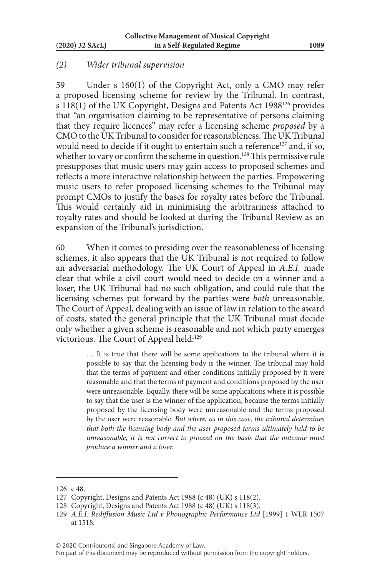#### *(2) Wider tribunal supervision*

59 Under s 160(1) of the Copyright Act, only a CMO may refer a proposed licensing scheme for review by the Tribunal. In contrast, s 118(1) of the UK Copyright, Designs and Patents Act 1988<sup>126</sup> provides that "an organisation claiming to be representative of persons claiming that they require licences" may refer a licensing scheme *proposed* by a CMO to the UK Tribunal to consider for reasonableness. The UK Tribunal would need to decide if it ought to entertain such a reference<sup>127</sup> and, if so, whether to vary or confirm the scheme in question.<sup>128</sup> This permissive rule presupposes that music users may gain access to proposed schemes and reflects a more interactive relationship between the parties. Empowering music users to refer proposed licensing schemes to the Tribunal may prompt CMOs to justify the bases for royalty rates before the Tribunal. This would certainly aid in minimising the arbitrariness attached to royalty rates and should be looked at during the Tribunal Review as an expansion of the Tribunal's jurisdiction.

60 When it comes to presiding over the reasonableness of licensing schemes, it also appears that the UK Tribunal is not required to follow an adversarial methodology. The UK Court of Appeal in *A.E.I.* made clear that while a civil court would need to decide on a winner and a loser, the UK Tribunal had no such obligation, and could rule that the licensing schemes put forward by the parties were *both* unreasonable. The Court of Appeal, dealing with an issue of law in relation to the award of costs, stated the general principle that the UK Tribunal must decide only whether a given scheme is reasonable and not which party emerges victorious. The Court of Appeal held:<sup>129</sup>

> … It is true that there will be some applications to the tribunal where it is possible to say that the licensing body is the winner. The tribunal may hold that the terms of payment and other conditions initially proposed by it were reasonable and that the terms of payment and conditions proposed by the user were unreasonable. Equally, there will be some applications where it is possible to say that the user is the winner of the application, because the terms initially proposed by the licensing body were unreasonable and the terms proposed by the user were reasonable. *But where, as in this case, the tribunal determines that both the licensing body and the user proposed terms ultimately held to be unreasonable, it is not correct to proceed on the basis that the outcome must produce a winner and a loser.*

<sup>126</sup> c 48.

<sup>127</sup> Copyright, Designs and Patents Act 1988 (c 48) (UK) s 118(2).

<sup>128</sup> Copyright, Designs and Patents Act 1988 (c 48) (UK) s 118(3).

<sup>129</sup> *A.E.I. Rediffusion Music Ltd v Phonographic Performance Ltd* [1999] 1 WLR 1507 at 1518.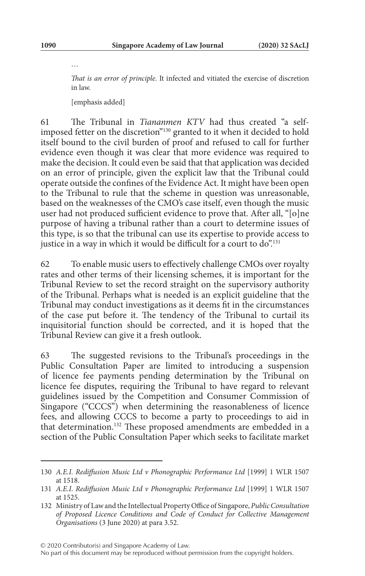*That is an error of principle.* It infected and vitiated the exercise of discretion in law.

[emphasis added]

61 The Tribunal in *Tiananmen KTV* had thus created "a selfimposed fetter on the discretion"130 granted to it when it decided to hold itself bound to the civil burden of proof and refused to call for further evidence even though it was clear that more evidence was required to make the decision. It could even be said that that application was decided on an error of principle, given the explicit law that the Tribunal could operate outside the confines of the Evidence Act. It might have been open to the Tribunal to rule that the scheme in question was unreasonable, based on the weaknesses of the CMO's case itself, even though the music user had not produced sufficient evidence to prove that. After all, "[o]ne purpose of having a tribunal rather than a court to determine issues of this type, is so that the tribunal can use its expertise to provide access to justice in a way in which it would be difficult for a court to do".<sup>131</sup>

62 To enable music users to effectively challenge CMOs over royalty rates and other terms of their licensing schemes, it is important for the Tribunal Review to set the record straight on the supervisory authority of the Tribunal. Perhaps what is needed is an explicit guideline that the Tribunal may conduct investigations as it deems fit in the circumstances of the case put before it. The tendency of the Tribunal to curtail its inquisitorial function should be corrected, and it is hoped that the Tribunal Review can give it a fresh outlook.

63 The suggested revisions to the Tribunal's proceedings in the Public Consultation Paper are limited to introducing a suspension of licence fee payments pending determination by the Tribunal on licence fee disputes, requiring the Tribunal to have regard to relevant guidelines issued by the Competition and Consumer Commission of Singapore ("CCCS") when determining the reasonableness of licence fees, and allowing CCCS to become a party to proceedings to aid in that determination.<sup>132</sup> These proposed amendments are embedded in a section of the Public Consultation Paper which seeks to facilitate market

…

<sup>130</sup> *A.E.I. Rediffusion Music Ltd v Phonographic Performance Ltd* [1999] 1 WLR 1507 at 1518.

<sup>131</sup> *A.E.I. Rediffusion Music Ltd v Phonographic Performance Ltd* [1999] 1 WLR 1507 at 1525.

<sup>132</sup> Ministry of Law and the Intellectual Property Office of Singapore, *Public Consultation of Proposed Licence Conditions and Code of Conduct for Collective Management Organisations* (3 June 2020) at para 3.52.

<sup>© 2020</sup> Contributor(s) and Singapore Academy of Law.

No part of this document may be reproduced without permission from the copyright holders.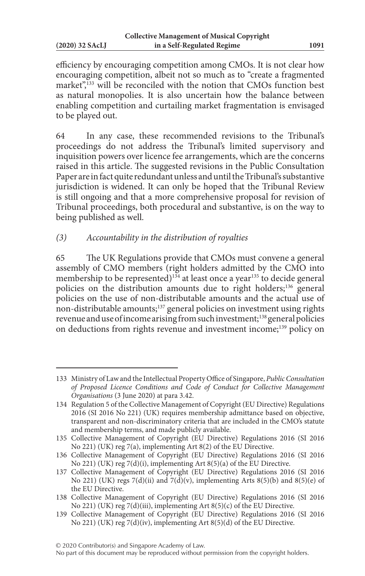efficiency by encouraging competition among CMOs. It is not clear how encouraging competition, albeit not so much as to "create a fragmented market",<sup>133</sup> will be reconciled with the notion that CMOs function best as natural monopolies. It is also uncertain how the balance between enabling competition and curtailing market fragmentation is envisaged to be played out.

64 In any case, these recommended revisions to the Tribunal's proceedings do not address the Tribunal's limited supervisory and inquisition powers over licence fee arrangements, which are the concerns raised in this article. The suggested revisions in the Public Consultation Paper are in fact quite redundant unless and until the Tribunal's substantive jurisdiction is widened. It can only be hoped that the Tribunal Review is still ongoing and that a more comprehensive proposal for revision of Tribunal proceedings, both procedural and substantive, is on the way to being published as well.

# *(3) Accountability in the distribution of royalties*

65 The UK Regulations provide that CMOs must convene a general assembly of CMO members (right holders admitted by the CMO into membership to be represented)<sup>134</sup> at least once a year<sup>135</sup> to decide general policies on the distribution amounts due to right holders;<sup>136</sup> general policies on the use of non-distributable amounts and the actual use of non-distributable amounts;<sup>137</sup> general policies on investment using rights revenue and use of income arising from such investment;138 general policies on deductions from rights revenue and investment income;<sup>139</sup> policy on

<sup>133</sup> Ministry of Law and the Intellectual Property Office of Singapore, *Public Consultation of Proposed Licence Conditions and Code of Conduct for Collective Management Organisations* (3 June 2020) at para 3.42.

<sup>134</sup> Regulation 5 of the Collective Management of Copyright (EU Directive) Regulations 2016 (SI 2016 No 221) (UK) requires membership admittance based on objective, transparent and non-discriminatory criteria that are included in the CMO's statute and membership terms, and made publicly available.

<sup>135</sup> Collective Management of Copyright (EU Directive) Regulations 2016 (SI 2016 No 221) (UK) reg 7(a), implementing Art 8(2) of the EU Directive.

<sup>136</sup> Collective Management of Copyright (EU Directive) Regulations 2016 (SI 2016 No 221) (UK) reg 7(d)(i), implementing Art 8(5)(a) of the EU Directive.

<sup>137</sup> Collective Management of Copyright (EU Directive) Regulations 2016 (SI 2016 No 221) (UK) regs  $7(d)(ii)$  and  $7(d)(v)$ , implementing Arts  $8(5)(b)$  and  $8(5)(e)$  of the EU Directive.

<sup>138</sup> Collective Management of Copyright (EU Directive) Regulations 2016 (SI 2016 No 221) (UK) reg 7(d)(iii), implementing Art 8(5)(c) of the EU Directive.

<sup>139</sup> Collective Management of Copyright (EU Directive) Regulations 2016 (SI 2016 No 221) (UK) reg 7(d)(iv), implementing Art 8(5)(d) of the EU Directive.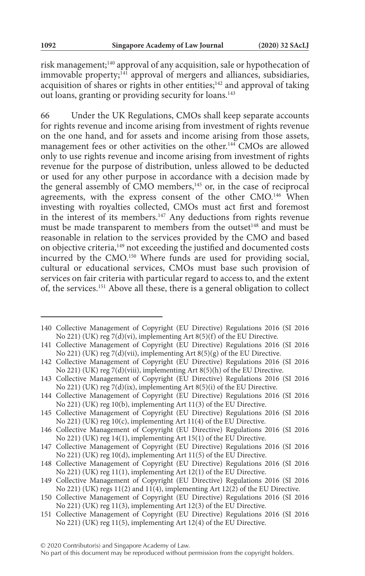risk management;140 approval of any acquisition, sale or hypothecation of immovable property;141 approval of mergers and alliances, subsidiaries, acquisition of shares or rights in other entities;<sup>142</sup> and approval of taking out loans, granting or providing security for loans.<sup>143</sup>

66 Under the UK Regulations, CMOs shall keep separate accounts for rights revenue and income arising from investment of rights revenue on the one hand, and for assets and income arising from those assets, management fees or other activities on the other.<sup>144</sup> CMOs are allowed only to use rights revenue and income arising from investment of rights revenue for the purpose of distribution, unless allowed to be deducted or used for any other purpose in accordance with a decision made by the general assembly of CMO members,<sup>145</sup> or, in the case of reciprocal agreements, with the express consent of the other CMO.<sup>146</sup> When investing with royalties collected, CMOs must act first and foremost in the interest of its members.<sup>147</sup> Any deductions from rights revenue must be made transparent to members from the outset<sup>148</sup> and must be reasonable in relation to the services provided by the CMO and based on objective criteria,<sup>149</sup> not exceeding the justified and documented costs incurred by the CMO.150 Where funds are used for providing social, cultural or educational services, CMOs must base such provision of services on fair criteria with particular regard to access to, and the extent of, the services.151 Above all these, there is a general obligation to collect

<sup>140</sup> Collective Management of Copyright (EU Directive) Regulations 2016 (SI 2016 No 221) (UK) reg 7(d)(vi), implementing Art 8(5)(f) of the EU Directive.

<sup>141</sup> Collective Management of Copyright (EU Directive) Regulations 2016 (SI 2016 No 221) (UK) reg 7(d)(vii), implementing Art 8(5)(g) of the EU Directive.

<sup>142</sup> Collective Management of Copyright (EU Directive) Regulations 2016 (SI 2016 No 221) (UK) reg 7(d)(viii), implementing Art 8(5)(h) of the EU Directive.

<sup>143</sup> Collective Management of Copyright (EU Directive) Regulations 2016 (SI 2016 No 221) (UK) reg 7(d)(ix), implementing Art 8(5)(i) of the EU Directive.

<sup>144</sup> Collective Management of Copyright (EU Directive) Regulations 2016 (SI 2016 No 221) (UK) reg 10(b), implementing Art 11(3) of the EU Directive.

<sup>145</sup> Collective Management of Copyright (EU Directive) Regulations 2016 (SI 2016 No 221) (UK) reg 10(c), implementing Art 11(4) of the EU Directive.

<sup>146</sup> Collective Management of Copyright (EU Directive) Regulations 2016 (SI 2016 No 221) (UK) reg 14(1), implementing Art 15(1) of the EU Directive.

<sup>147</sup> Collective Management of Copyright (EU Directive) Regulations 2016 (SI 2016 No 221) (UK) reg 10(d), implementing Art 11(5) of the EU Directive.

<sup>148</sup> Collective Management of Copyright (EU Directive) Regulations 2016 (SI 2016 No 221) (UK) reg 11(1), implementing Art 12(1) of the EU Directive.

<sup>149</sup> Collective Management of Copyright (EU Directive) Regulations 2016 (SI 2016 No 221) (UK) regs 11(2) and 11(4), implementing Art 12(2) of the EU Directive.

<sup>150</sup> Collective Management of Copyright (EU Directive) Regulations 2016 (SI 2016 No 221) (UK) reg 11(3), implementing Art 12(3) of the EU Directive.

<sup>151</sup> Collective Management of Copyright (EU Directive) Regulations 2016 (SI 2016 No 221) (UK) reg 11(5), implementing Art 12(4) of the EU Directive.

No part of this document may be reproduced without permission from the copyright holders.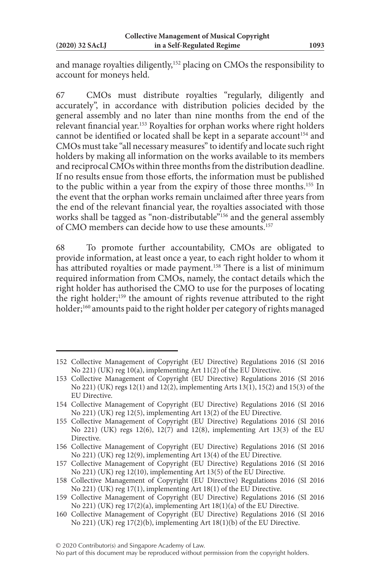and manage royalties diligently,<sup>152</sup> placing on CMOs the responsibility to account for moneys held.

67 CMOs must distribute royalties "regularly, diligently and accurately", in accordance with distribution policies decided by the general assembly and no later than nine months from the end of the relevant financial year.153 Royalties for orphan works where right holders cannot be identified or located shall be kept in a separate account<sup>154</sup> and CMOs must take "all necessary measures" to identify and locate such right holders by making all information on the works available to its members and reciprocal CMOs within three months from the distribution deadline. If no results ensue from those efforts, the information must be published to the public within a year from the expiry of those three months.155 In the event that the orphan works remain unclaimed after three years from the end of the relevant financial year, the royalties associated with those works shall be tagged as "non-distributable"<sup>156</sup> and the general assembly of CMO members can decide how to use these amounts.157

68 To promote further accountability, CMOs are obligated to provide information, at least once a year, to each right holder to whom it has attributed royalties or made payment.<sup>158</sup> There is a list of minimum required information from CMOs, namely, the contact details which the right holder has authorised the CMO to use for the purposes of locating the right holder;<sup>159</sup> the amount of rights revenue attributed to the right holder;<sup>160</sup> amounts paid to the right holder per category of rights managed

<sup>152</sup> Collective Management of Copyright (EU Directive) Regulations 2016 (SI 2016 No 221) (UK) reg 10(a), implementing Art 11(2) of the EU Directive.

<sup>153</sup> Collective Management of Copyright (EU Directive) Regulations 2016 (SI 2016 No 221) (UK) regs 12(1) and 12(2), implementing Arts 13(1), 15(2) and 15(3) of the EU Directive.

<sup>154</sup> Collective Management of Copyright (EU Directive) Regulations 2016 (SI 2016 No 221) (UK) reg 12(5), implementing Art 13(2) of the EU Directive.

<sup>155</sup> Collective Management of Copyright (EU Directive) Regulations 2016 (SI 2016 No 221) (UK) regs 12(6), 12(7) and 12(8), implementing Art 13(3) of the EU Directive.

<sup>156</sup> Collective Management of Copyright (EU Directive) Regulations 2016 (SI 2016 No 221) (UK) reg 12(9), implementing Art 13(4) of the EU Directive.

<sup>157</sup> Collective Management of Copyright (EU Directive) Regulations 2016 (SI 2016 No 221) (UK) reg 12(10), implementing Art 13(5) of the EU Directive.

<sup>158</sup> Collective Management of Copyright (EU Directive) Regulations 2016 (SI 2016 No 221) (UK) reg 17(1), implementing Art 18(1) of the EU Directive.

<sup>159</sup> Collective Management of Copyright (EU Directive) Regulations 2016 (SI 2016 No 221) (UK) reg 17(2)(a), implementing Art 18(1)(a) of the EU Directive.

<sup>160</sup> Collective Management of Copyright (EU Directive) Regulations 2016 (SI 2016 No 221) (UK) reg 17(2)(b), implementing Art 18(1)(b) of the EU Directive.

No part of this document may be reproduced without permission from the copyright holders.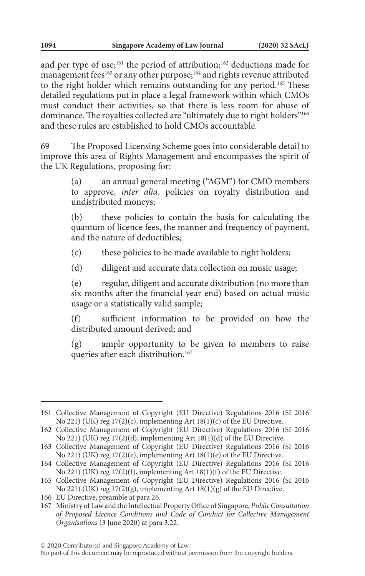and per type of use;<sup>161</sup> the period of attribution;<sup>162</sup> deductions made for management fees<sup>163</sup> or any other purpose;<sup>164</sup> and rights revenue attributed to the right holder which remains outstanding for any period.165 These detailed regulations put in place a legal framework within which CMOs must conduct their activities, so that there is less room for abuse of dominance. The royalties collected are "ultimately due to right holders"<sup>166</sup> and these rules are established to hold CMOs accountable.

69 The Proposed Licensing Scheme goes into considerable detail to improve this area of Rights Management and encompasses the spirit of the UK Regulations, proposing for:

> (a) an annual general meeting ("AGM") for CMO members to approve, *inter alia*, policies on royalty distribution and undistributed moneys;

> (b) these policies to contain the basis for calculating the quantum of licence fees, the manner and frequency of payment, and the nature of deductibles;

(c) these policies to be made available to right holders;

(d) diligent and accurate data collection on music usage;

(e) regular, diligent and accurate distribution (no more than six months after the financial year end) based on actual music usage or a statistically valid sample;

(f) sufficient information to be provided on how the distributed amount derived; and

(g) ample opportunity to be given to members to raise queries after each distribution.<sup>167</sup>

<sup>161</sup> Collective Management of Copyright (EU Directive) Regulations 2016 (SI 2016 No 221) (UK) reg 17(2)(c), implementing Art 18(1)(c) of the EU Directive.

<sup>162</sup> Collective Management of Copyright (EU Directive) Regulations 2016 (SI 2016 No 221) (UK) reg 17(2)(d), implementing Art 18(1)(d) of the EU Directive.

<sup>163</sup> Collective Management of Copyright (EU Directive) Regulations 2016 (SI 2016 No 221) (UK) reg 17(2)(e), implementing Art 18(1)(e) of the EU Directive.

<sup>164</sup> Collective Management of Copyright (EU Directive) Regulations 2016 (SI 2016 No 221) (UK) reg 17(2)(f), implementing Art 18(1)(f) of the EU Directive.

<sup>165</sup> Collective Management of Copyright (EU Directive) Regulations 2016 (SI 2016 No 221) (UK) reg 17(2)(g), implementing Art 18(1)(g) of the EU Directive.

<sup>166</sup> EU Directive, preamble at para 26.

<sup>167</sup> Ministry of Law and the Intellectual Property Office of Singapore, *Public Consultation of Proposed Licence Conditions and Code of Conduct for Collective Management Organisations* (3 June 2020) at para 3.22.

No part of this document may be reproduced without permission from the copyright holders.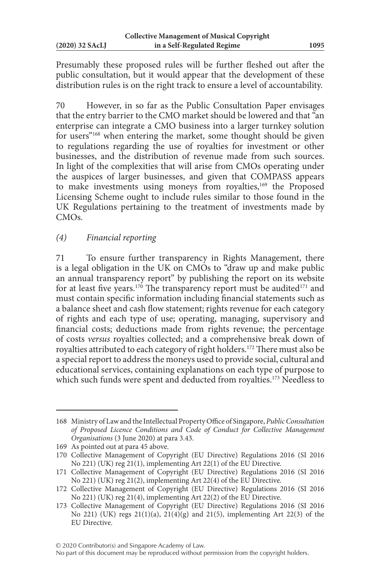Presumably these proposed rules will be further fleshed out after the public consultation, but it would appear that the development of these distribution rules is on the right track to ensure a level of accountability.

70 However, in so far as the Public Consultation Paper envisages that the entry barrier to the CMO market should be lowered and that "an enterprise can integrate a CMO business into a larger turnkey solution for users"168 when entering the market, some thought should be given to regulations regarding the use of royalties for investment or other businesses, and the distribution of revenue made from such sources. In light of the complexities that will arise from CMOs operating under the auspices of larger businesses, and given that COMPASS appears to make investments using moneys from royalties,<sup>169</sup> the Proposed Licensing Scheme ought to include rules similar to those found in the UK Regulations pertaining to the treatment of investments made by CMOs.

### *(4) Financial reporting*

71 To ensure further transparency in Rights Management, there is a legal obligation in the UK on CMOs to "draw up and make public an annual transparency report" by publishing the report on its website for at least five years.<sup>170</sup> The transparency report must be audited<sup>171</sup> and must contain specific information including financial statements such as a balance sheet and cash flow statement; rights revenue for each category of rights and each type of use; operating, managing, supervisory and financial costs; deductions made from rights revenue; the percentage of costs *versus* royalties collected; and a comprehensive break down of royalties attributed to each category of right holders.<sup>172</sup> There must also be a special report to address the moneys used to provide social, cultural and educational services, containing explanations on each type of purpose to which such funds were spent and deducted from royalties.<sup>173</sup> Needless to

<sup>168</sup> Ministry of Law and the Intellectual Property Office of Singapore, *Public Consultation of Proposed Licence Conditions and Code of Conduct for Collective Management Organisations* (3 June 2020) at para 3.43.

<sup>169</sup> As pointed out at para 45 above.

<sup>170</sup> Collective Management of Copyright (EU Directive) Regulations 2016 (SI 2016 No 221) (UK) reg 21(1), implementing Art 22(1) of the EU Directive.

<sup>171</sup> Collective Management of Copyright (EU Directive) Regulations 2016 (SI 2016 No 221) (UK) reg 21(2), implementing Art 22(4) of the EU Directive.

<sup>172</sup> Collective Management of Copyright (EU Directive) Regulations 2016 (SI 2016 No 221) (UK) reg 21(4), implementing Art 22(2) of the EU Directive.

<sup>173</sup> Collective Management of Copyright (EU Directive) Regulations 2016 (SI 2016 No 221) (UK) regs 21(1)(a), 21(4)(g) and 21(5), implementing Art 22(3) of the EU Directive.

No part of this document may be reproduced without permission from the copyright holders.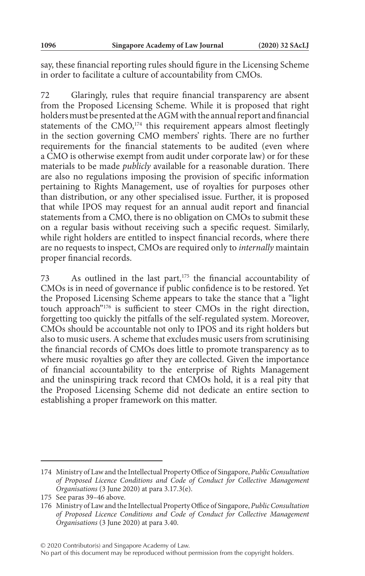say, these financial reporting rules should figure in the Licensing Scheme in order to facilitate a culture of accountability from CMOs.

72 Glaringly, rules that require financial transparency are absent from the Proposed Licensing Scheme. While it is proposed that right holders must be presented at the AGM with the annual report and financial statements of the  $CMO<sub>174</sub>$  this requirement appears almost fleetingly in the section governing CMO members' rights. There are no further requirements for the financial statements to be audited (even where a CMO is otherwise exempt from audit under corporate law) or for these materials to be made *publicly* available for a reasonable duration. There are also no regulations imposing the provision of specific information pertaining to Rights Management, use of royalties for purposes other than distribution, or any other specialised issue. Further, it is proposed that while IPOS may request for an annual audit report and financial statements from a CMO, there is no obligation on CMOs to submit these on a regular basis without receiving such a specific request. Similarly, while right holders are entitled to inspect financial records, where there are no requests to inspect, CMOs are required only to *internally* maintain proper financial records.

73 As outlined in the last part,<sup>175</sup> the financial accountability of CMOs is in need of governance if public confidence is to be restored. Yet the Proposed Licensing Scheme appears to take the stance that a "light touch approach"176 is sufficient to steer CMOs in the right direction, forgetting too quickly the pitfalls of the self-regulated system. Moreover, CMOs should be accountable not only to IPOS and its right holders but also to music users. A scheme that excludes music users from scrutinising the financial records of CMOs does little to promote transparency as to where music royalties go after they are collected. Given the importance of financial accountability to the enterprise of Rights Management and the uninspiring track record that CMOs hold, it is a real pity that the Proposed Licensing Scheme did not dedicate an entire section to establishing a proper framework on this matter.

<sup>174</sup> Ministry of Law and the Intellectual Property Office of Singapore, *Public Consultation of Proposed Licence Conditions and Code of Conduct for Collective Management Organisations* (3 June 2020) at para 3.17.3(e).

<sup>175</sup> See paras 39–46 above.

<sup>176</sup> Ministry of Law and the Intellectual Property Office of Singapore, *Public Consultation of Proposed Licence Conditions and Code of Conduct for Collective Management Organisations* (3 June 2020) at para 3.40.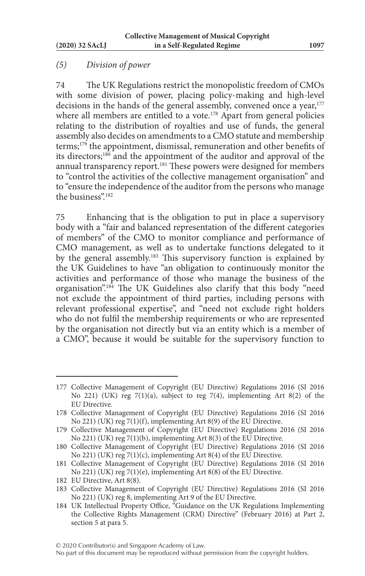### *(5) Division of power*

74 The UK Regulations restrict the monopolistic freedom of CMOs with some division of power, placing policy-making and high-level decisions in the hands of the general assembly, convened once a year,<sup>177</sup> where all members are entitled to a vote.<sup>178</sup> Apart from general policies relating to the distribution of royalties and use of funds, the general assembly also decides on amendments to a CMO statute and membership terms; $179$  the appointment, dismissal, remuneration and other benefits of its directors;<sup>180</sup> and the appointment of the auditor and approval of the annual transparency report.<sup>181</sup> These powers were designed for members to "control the activities of the collective management organisation" and to "ensure the independence of the auditor from the persons who manage the business"<sup>182</sup>

75 Enhancing that is the obligation to put in place a supervisory body with a "fair and balanced representation of the different categories of members" of the CMO to monitor compliance and performance of CMO management, as well as to undertake functions delegated to it by the general assembly.<sup>183</sup> This supervisory function is explained by the UK Guidelines to have "an obligation to continuously monitor the activities and performance of those who manage the business of the organisation".<sup>184</sup> The UK Guidelines also clarify that this body "need not exclude the appointment of third parties, including persons with relevant professional expertise", and "need not exclude right holders who do not fulfil the membership requirements or who are represented by the organisation not directly but via an entity which is a member of a CMO", because it would be suitable for the supervisory function to

<sup>177</sup> Collective Management of Copyright (EU Directive) Regulations 2016 (SI 2016 No 221) (UK) reg 7(1)(a), subject to reg 7(4), implementing Art 8(2) of the EU Directive.

<sup>178</sup> Collective Management of Copyright (EU Directive) Regulations 2016 (SI 2016 No 221) (UK) reg 7(1)(f), implementing Art 8(9) of the EU Directive.

<sup>179</sup> Collective Management of Copyright (EU Directive) Regulations 2016 (SI 2016 No 221) (UK) reg 7(1)(b), implementing Art 8(3) of the EU Directive.

<sup>180</sup> Collective Management of Copyright (EU Directive) Regulations 2016 (SI 2016 No 221) (UK) reg 7(1)(c), implementing Art 8(4) of the EU Directive.

<sup>181</sup> Collective Management of Copyright (EU Directive) Regulations 2016 (SI 2016 No 221) (UK) reg 7(1)(e), implementing Art 8(8) of the EU Directive.

<sup>182</sup> EU Directive, Art 8(8).

<sup>183</sup> Collective Management of Copyright (EU Directive) Regulations 2016 (SI 2016 No 221) (UK) reg 8, implementing Art 9 of the EU Directive.

<sup>184</sup> UK Intellectual Property Office, "Guidance on the UK Regulations Implementing the Collective Rights Management (CRM) Directive" (February 2016) at Part 2, section 5 at para 5.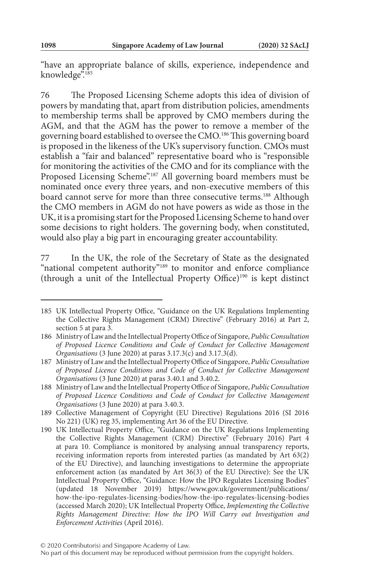"have an appropriate balance of skills, experience, independence and knowledge".185

76 The Proposed Licensing Scheme adopts this idea of division of powers by mandating that, apart from distribution policies, amendments to membership terms shall be approved by CMO members during the AGM, and that the AGM has the power to remove a member of the governing board established to oversee the CMO.186 This governing board is proposed in the likeness of the UK's supervisory function. CMOs must establish a "fair and balanced" representative board who is "responsible for monitoring the activities of the CMO and for its compliance with the Proposed Licensing Scheme".<sup>187</sup> All governing board members must be nominated once every three years, and non-executive members of this board cannot serve for more than three consecutive terms.<sup>188</sup> Although the CMO members in AGM do not have powers as wide as those in the UK, it is a promising start for the Proposed Licensing Scheme to hand over some decisions to right holders. The governing body, when constituted, would also play a big part in encouraging greater accountability.

77 In the UK, the role of the Secretary of State as the designated "national competent authority"<sup>189</sup> to monitor and enforce compliance (through a unit of the Intellectual Property Office)190 is kept distinct

<sup>185</sup> UK Intellectual Property Office, "Guidance on the UK Regulations Implementing the Collective Rights Management (CRM) Directive" (February 2016) at Part 2, section 5 at para 3.

<sup>186</sup> Ministry of Law and the Intellectual Property Office of Singapore, *Public Consultation of Proposed Licence Conditions and Code of Conduct for Collective Management Organisations* (3 June 2020) at paras 3.17.3(c) and 3.17.3(d).

<sup>187</sup> Ministry of Law and the Intellectual Property Office of Singapore, *Public Consultation of Proposed Licence Conditions and Code of Conduct for Collective Management Organisations* (3 June 2020) at paras 3.40.1 and 3.40.2.

<sup>188</sup> Ministry of Law and the Intellectual Property Office of Singapore, *Public Consultation of Proposed Licence Conditions and Code of Conduct for Collective Management Organisations* (3 June 2020) at para 3.40.3.

<sup>189</sup> Collective Management of Copyright (EU Directive) Regulations 2016 (SI 2016 No 221) (UK) reg 35, implementing Art 36 of the EU Directive.

<sup>190</sup> UK Intellectual Property Office, "Guidance on the UK Regulations Implementing the Collective Rights Management (CRM) Directive" (February 2016) Part 4 at para 10. Compliance is monitored by analysing annual transparency reports, receiving information reports from interested parties (as mandated by Art 63(2) of the EU Directive), and launching investigations to determine the appropriate enforcement action (as mandated by Art 36(3) of the EU Directive): See the UK Intellectual Property Office, "Guidance: How the IPO Regulates Licensing Bodies" (updated 18 November 2019) https://www.gov.uk/government/publications/ how-the-ipo-regulates-licensing-bodies/how-the-ipo-regulates-licensing-bodies (accessed March 2020); UK Intellectual Property Office, *Implementing the Collective Rights Management Directive: How the IPO Will Carry out Investigation and Enforcement Activities* (April 2016).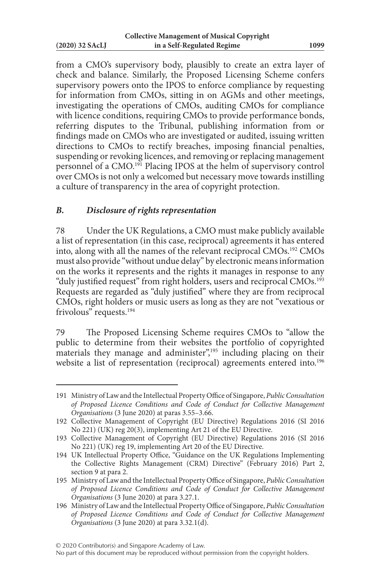from a CMO's supervisory body, plausibly to create an extra layer of check and balance. Similarly, the Proposed Licensing Scheme confers supervisory powers onto the IPOS to enforce compliance by requesting for information from CMOs, sitting in on AGMs and other meetings, investigating the operations of CMOs, auditing CMOs for compliance with licence conditions, requiring CMOs to provide performance bonds, referring disputes to the Tribunal, publishing information from or findings made on CMOs who are investigated or audited, issuing written directions to CMOs to rectify breaches, imposing financial penalties, suspending or revoking licences, and removing or replacing management personnel of a CMO.191 Placing IPOS at the helm of supervisory control over CMOs is not only a welcomed but necessary move towards instilling a culture of transparency in the area of copyright protection.

### *B. Disclosure of rights representation*

78 Under the UK Regulations, a CMO must make publicly available a list of representation (in this case, reciprocal) agreements it has entered into, along with all the names of the relevant reciprocal CMOs.192 CMOs must also provide "without undue delay" by electronic means information on the works it represents and the rights it manages in response to any "duly justified request" from right holders, users and reciprocal CMOs.193 Requests are regarded as "duly justified" where they are from reciprocal CMOs, right holders or music users as long as they are not "vexatious or frivolous" requests.194

79 The Proposed Licensing Scheme requires CMOs to "allow the public to determine from their websites the portfolio of copyrighted materials they manage and administer",<sup>195</sup> including placing on their website a list of representation (reciprocal) agreements entered into.<sup>196</sup>

<sup>191</sup> Ministry of Law and the Intellectual Property Office of Singapore, *Public Consultation of Proposed Licence Conditions and Code of Conduct for Collective Management Organisations* (3 June 2020) at paras 3.55–3.66.

<sup>192</sup> Collective Management of Copyright (EU Directive) Regulations 2016 (SI 2016 No 221) (UK) reg 20(3), implementing Art 21 of the EU Directive.

<sup>193</sup> Collective Management of Copyright (EU Directive) Regulations 2016 (SI 2016 No 221) (UK) reg 19, implementing Art 20 of the EU Directive.

<sup>194</sup> UK Intellectual Property Office, "Guidance on the UK Regulations Implementing the Collective Rights Management (CRM) Directive" (February 2016) Part 2, section 9 at para 2.

<sup>195</sup> Ministry of Law and the Intellectual Property Office of Singapore, *Public Consultation of Proposed Licence Conditions and Code of Conduct for Collective Management Organisations* (3 June 2020) at para 3.27.1.

<sup>196</sup> Ministry of Law and the Intellectual Property Office of Singapore, *Public Consultation of Proposed Licence Conditions and Code of Conduct for Collective Management Organisations* (3 June 2020) at para 3.32.1(d).

No part of this document may be reproduced without permission from the copyright holders.